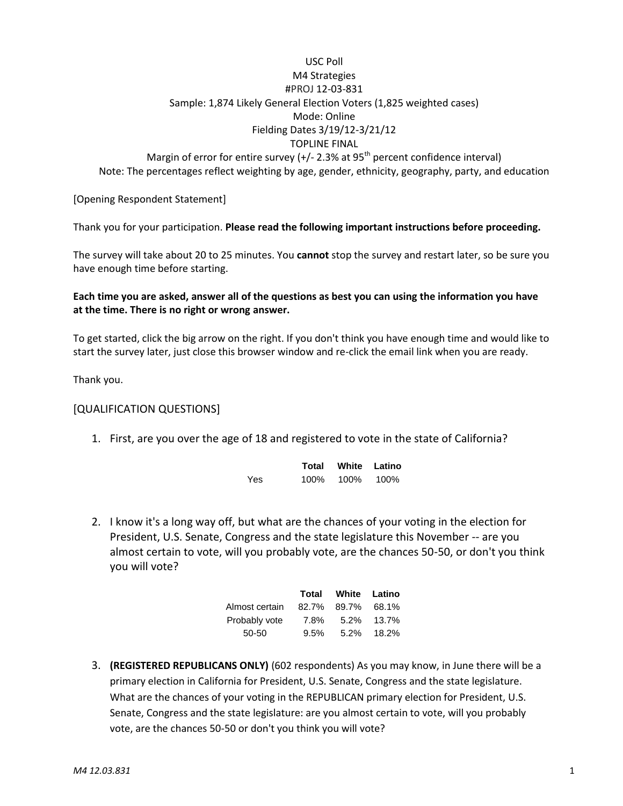### USC Poll M4 Strategies #PROJ 12-03-831 Sample: 1,874 Likely General Election Voters (1,825 weighted cases) Mode: Online Fielding Dates 3/19/12-3/21/12 TOPLINE FINAL Margin of error for entire survey  $(+/- 2.3\%$  at  $95<sup>th</sup>$  percent confidence interval)

Note: The percentages reflect weighting by age, gender, ethnicity, geography, party, and education

[Opening Respondent Statement]

Thank you for your participation. **Please read the following important instructions before proceeding.**

The survey will take about 20 to 25 minutes. You **cannot** stop the survey and restart later, so be sure you have enough time before starting.

### **Each time you are asked, answer all of the questions as best you can using the information you have at the time. There is no right or wrong answer.**

To get started, click the big arrow on the right. If you don't think you have enough time and would like to start the survey later, just close this browser window and re-click the email link when you are ready.

Thank you.

### [QUALIFICATION QUESTIONS]

1. First, are you over the age of 18 and registered to vote in the state of California?

|     | Total |      | White Latino |
|-----|-------|------|--------------|
| Yes | 100%  | 100% | 100%         |

2. I know it's a long way off, but what are the chances of your voting in the election for President, U.S. Senate, Congress and the state legislature this November -- are you almost certain to vote, will you probably vote, are the chances 50-50, or don't you think you will vote?

|                |      | Total White Latino |               |
|----------------|------|--------------------|---------------|
| Almost certain |      | 82.7% 89.7% 68.1%  |               |
| Probably vote  | 7.8% |                    | 5.2% 13.7%    |
| 50-50          | 9.5% |                    | $5.2\%$ 18.2% |

3. **(REGISTERED REPUBLICANS ONLY)** (602 respondents) As you may know, in June there will be a primary election in California for President, U.S. Senate, Congress and the state legislature. What are the chances of your voting in the REPUBLICAN primary election for President, U.S. Senate, Congress and the state legislature: are you almost certain to vote, will you probably vote, are the chances 50-50 or don't you think you will vote?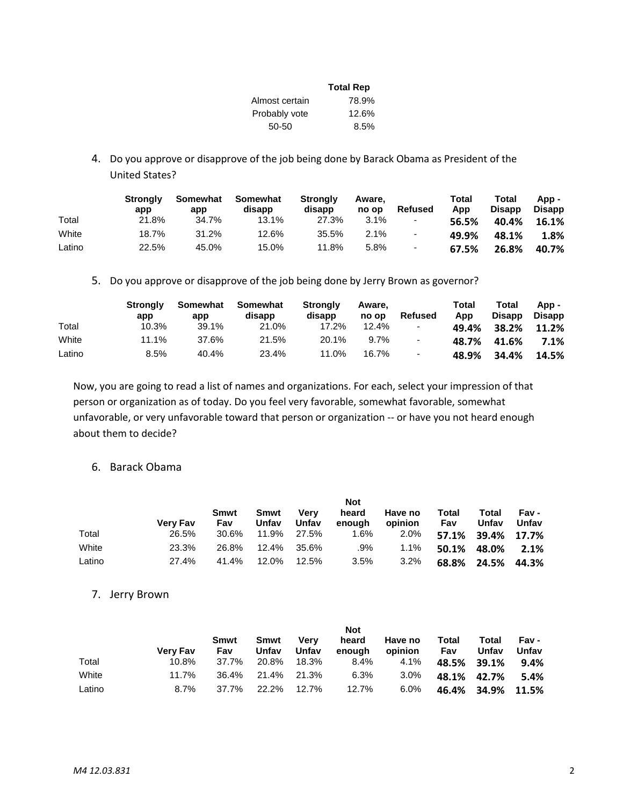|                | <b>Total Rep</b> |
|----------------|------------------|
| Almost certain | 78.9%            |
| Probably vote  | 12.6%            |
| 50-50          | 8.5%             |

4. Do you approve or disapprove of the job being done by Barack Obama as President of the United States?

|        | <b>Strongly</b><br>app | Somewhat<br>app | Somewhat<br>disapp | <b>Strongly</b><br>disapp | Aware.<br>no op | <b>Refused</b>           | Total<br>App | Total<br><b>Disapp</b> | App -<br><b>Disapp</b> |
|--------|------------------------|-----------------|--------------------|---------------------------|-----------------|--------------------------|--------------|------------------------|------------------------|
| Total  | 21.8%                  | 34.7%           | 13.1%              | 27.3%                     | $3.1\%$         | $\overline{\phantom{a}}$ | 56.5%        | 40.4%                  | 16.1%                  |
| White  | 18.7%                  | 31.2%           | 12.6%              | 35.5%                     | 2.1%            | -                        | 49.9%        | 48.1%                  | 1.8%                   |
| Latino | 22.5%                  | 45.0%           | 15.0%              | 11.8%                     | 5.8%            | $\overline{\phantom{a}}$ | 67.5%        | 26.8%                  | 40.7%                  |

5. Do you approve or disapprove of the job being done by Jerry Brown as governor?

|        | <b>Stronaly</b><br>app | Somewhat<br>app | Somewhat<br>disapp | <b>Stronaly</b><br>disapp | Aware.<br>no op | <b>Refused</b> | Total<br>App | Total<br><b>Disapp</b> | App -<br><b>Disapp</b> |
|--------|------------------------|-----------------|--------------------|---------------------------|-----------------|----------------|--------------|------------------------|------------------------|
| Total  | 10.3%                  | 39.1%           | 21.0%              | 17.2%                     | 12.4%           | ۰              | 49.4%        | 38.2%                  | 11.2%                  |
| White  | 11.1%                  | 37.6%           | 21.5%              | 20.1%                     | 9.7%            | $\blacksquare$ | 48.7%        | 41.6%                  | 7.1%                   |
| Latino | $8.5\%$                | 40.4%           | 23.4%              | 11.0%                     | 16.7%           | ٠              | 48.9%        | 34.4%                  | 14.5%                  |

Now, you are going to read a list of names and organizations. For each, select your impression of that person or organization as of today. Do you feel very favorable, somewhat favorable, somewhat unfavorable, or very unfavorable toward that person or organization -- or have you not heard enough about them to decide?

### 6. Barack Obama

|        | <b>Not</b>      |                    |               |               |                 |                    |              |                   |                |
|--------|-----------------|--------------------|---------------|---------------|-----------------|--------------------|--------------|-------------------|----------------|
|        | <b>Verv Fav</b> | Smwt<br><b>Fav</b> | Smwt<br>Unfav | Verv<br>Unfav | heard<br>enough | Have no<br>opinion | Total<br>Fav | Total<br>Unfav    | Fav -<br>Unfav |
| Total  | 26.5%           | 30.6%              | 11.9%         | 27.5%         | 1.6%            | 2.0%               |              | 57.1% 39.4% 17.7% |                |
| White  | 23.3%           | 26.8%              | 12.4%         | 35.6%         | .9%             | $1.1\%$            | 50.1%        | 48.0%             | 2.1%           |
| Latino | 27.4%           | 41.4%              | 12.0%         | 12.5%         | 3.5%            | $3.2\%$            | 68.8%        | 24.5%             | 44.3%          |

#### 7. Jerry Brown

|        | <b>Not</b>      |             |               |               |                 |                    |              |                   |                |
|--------|-----------------|-------------|---------------|---------------|-----------------|--------------------|--------------|-------------------|----------------|
|        | <b>Very Fav</b> | Smwt<br>Fav | Smwt<br>Unfav | Verv<br>Unfav | heard<br>enough | Have no<br>opinion | Total<br>Fav | Total<br>Unfav    | Fav -<br>Unfav |
| Total  | 10.8%           | 37.7%       | 20.8%         | 18.3%         | 8.4%            | 4.1%               |              | 48.5% 39.1%       | 9.4%           |
| White  | 11.7%           | 36.4%       | 21.4% 21.3%   |               | 6.3%            | $3.0\%$            |              | 48.1% 42.7%       | 5.4%           |
| Latino | 8.7%            | 37.7%       | 22.2%         | 12.7%         | 12.7%           | $6.0\%$            |              | 46.4% 34.9% 11.5% |                |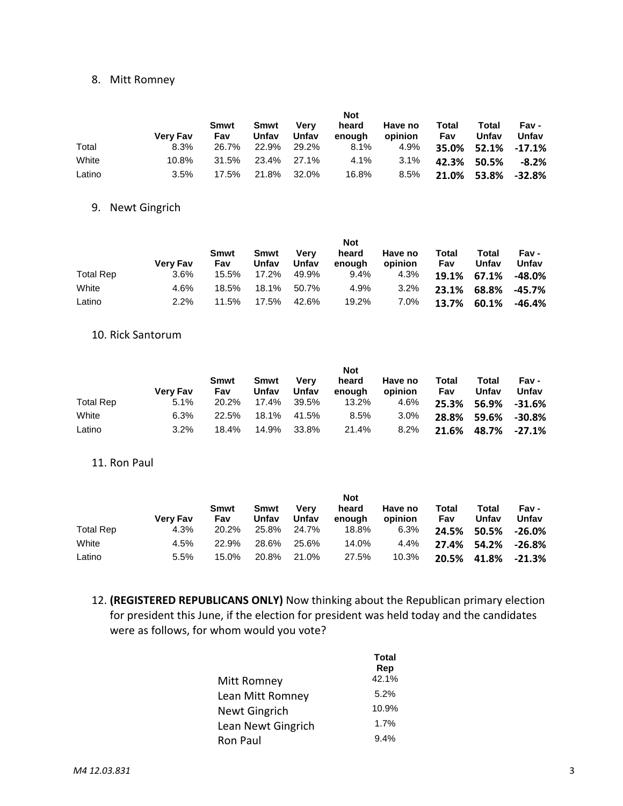### 8. Mitt Romney

|        | <b>Not</b>      |             |               |               |                 |                    |              |                    |                |
|--------|-----------------|-------------|---------------|---------------|-----------------|--------------------|--------------|--------------------|----------------|
|        | <b>Verv Fav</b> | Smwt<br>Fav | Smwt<br>Unfav | Verv<br>Unfav | heard<br>enough | Have no<br>opinion | Total<br>Fav | Total<br>Unfav     | Fav -<br>Unfav |
| Total  | 8.3%            | 26.7%       | 22.9%         | 29.2%         | 8.1%            | 4.9%               |              | 35.0% 52.1% -17.1% |                |
| White  | 10.8%           | 31.5%       | 23.4%         | 27.1%         | 4.1%            | 3.1%               |              | 42.3% 50.5%        | -8.2%          |
| Latino | 3.5%            | 17.5%       | 21.8%         | 32.0%         | 16.8%           | $8.5\%$            |              | 21.0% 53.8%        | -32.8%         |

### 9. Newt Gingrich

|                  | <b>Not</b>      |                                                            |       |       |        |         |       |             |           |
|------------------|-----------------|------------------------------------------------------------|-------|-------|--------|---------|-------|-------------|-----------|
|                  |                 | heard<br>Total<br>Verv<br>Have no<br>Total<br>Smwt<br>Smwt |       |       |        |         |       |             |           |
|                  | <b>Verv Fav</b> | Fav                                                        | Unfav | Unfav | enough | opinion | Fav   | Unfav       | Unfav     |
| <b>Total Rep</b> | 3.6%            | 15.5%                                                      | 17.2% | 49.9% | 9.4%   | 4.3%    |       | 19.1% 67.1% | $-48.0\%$ |
| White            | 4.6%            | 18.5%                                                      | 18.1% | 50.7% | 4.9%   | $3.2\%$ | 23.1% | 68.8%       | -45.7%    |
| Latino           | $2.2\%$         | 11.5%                                                      | 17.5% | 42.6% | 19.2%  | 7.0%    | 13.7% | 60.1%       | -46.4%    |

### 10. Rick Santorum

|                  | <b>Not</b>      |             |               |               |                 |                    |              |                |                |
|------------------|-----------------|-------------|---------------|---------------|-----------------|--------------------|--------------|----------------|----------------|
|                  | <b>Verv Fav</b> | Smwt<br>Fav | Smwt<br>Unfav | Verv<br>Unfav | heard<br>enough | Have no<br>opinion | Total<br>Fav | Total<br>Unfav | Fav -<br>Unfav |
| <b>Total Rep</b> | 5.1%            | 20.2%       | 17.4%         | 39.5%         | 13.2%           | 4.6%               |              | 25.3% 56.9%    | $-31.6%$       |
| White            | 6.3%            | 22.5%       | 18.1%         | 41.5%         | 8.5%            | $3.0\%$            |              | 28.8% 59.6%    | -30.8%         |
| Latino           | 3.2%            | 18.4%       | 14.9%         | 33.8%         | 21.4%           | 8.2%               | 21.6%        | 48.7%          | $-27.1%$       |

#### 11. Ron Paul

|                  | <b>Not</b>      |             |               |               |                 |                    |              |                |                |
|------------------|-----------------|-------------|---------------|---------------|-----------------|--------------------|--------------|----------------|----------------|
|                  | <b>Verv Fav</b> | Smwt<br>Fav | Smwt<br>Unfav | Verv<br>Unfav | heard<br>enough | Have no<br>opinion | Total<br>Fav | Total<br>Unfav | Fav -<br>Unfav |
| <b>Total Rep</b> | 4.3%            | 20.2%       | 25.8%         | 24.7%         | 18.8%           | 6.3%               |              | 24.5% 50.5%    | $-26.0\%$      |
| White            | 4.5%            | 22.9%       | 28.6%         | 25.6%         | 14.0%           | 4.4%               |              | 27.4% 54.2%    | -26.8%         |
| Latino           | 5.5%            | 15.0%       | 20.8%         | 21.0%         | 27.5%           | 10.3%              | 20.5%        | 41.8%          | $-21.3%$       |

12. **(REGISTERED REPUBLICANS ONLY)** Now thinking about the Republican primary election for president this June, if the election for president was held today and the candidates were as follows, for whom would you vote?

|                    | <b>Total</b><br>Rep |
|--------------------|---------------------|
| Mitt Romney        | 42.1%               |
| Lean Mitt Romney   | 5.2%                |
| Newt Gingrich      | 10.9%               |
| Lean Newt Gingrich | 1.7%                |
| Ron Paul           | 9.4%                |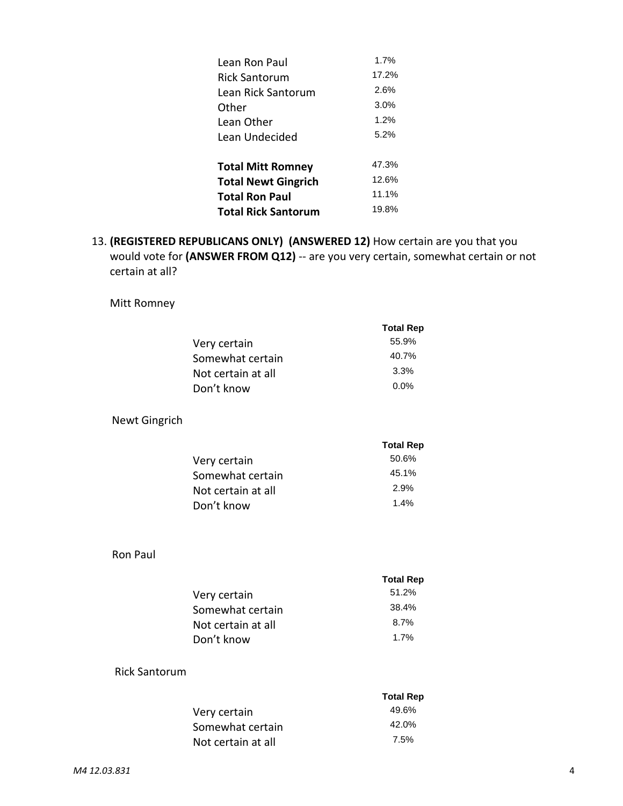| Lean Ron Paul              | 1.7%  |
|----------------------------|-------|
| <b>Rick Santorum</b>       | 17.2% |
| Lean Rick Santorum         | 2.6%  |
| Other                      | 3.0%  |
| Lean Other                 | 1.2%  |
| Lean Undecided             | 5.2%  |
| <b>Total Mitt Romney</b>   | 47.3% |
| <b>Total Newt Gingrich</b> | 12.6% |
| <b>Total Ron Paul</b>      | 11.1% |
| Total Rick Santorum        | 19.8% |
|                            |       |

13. **(REGISTERED REPUBLICANS ONLY) (ANSWERED 12)** How certain are you that you would vote for **(ANSWER FROM Q12)** -- are you very certain, somewhat certain or not certain at all?

Mitt Romney

|                    | <b>Total Rep</b> |
|--------------------|------------------|
| Very certain       | 55.9%            |
| Somewhat certain   | 40.7%            |
| Not certain at all | 3.3%             |
| Don't know         | $0.0\%$          |
|                    |                  |

Newt Gingrich

|                    | <b>Total Rep</b> |
|--------------------|------------------|
| Very certain       | 50.6%            |
| Somewhat certain   | 45.1%            |
| Not certain at all | 2.9%             |
| Don't know         | 1.4%             |
|                    |                  |

### Ron Paul

|                    | <b>Total Rep</b> |
|--------------------|------------------|
| Very certain       | 51.2%            |
| Somewhat certain   | 38.4%            |
| Not certain at all | 8.7%             |
| Don't know         | 1.7%             |

### Rick Santorum

| <b>Total Rep</b> |
|------------------|
| 49.6%            |
| 42.0%            |
| 7.5%             |
|                  |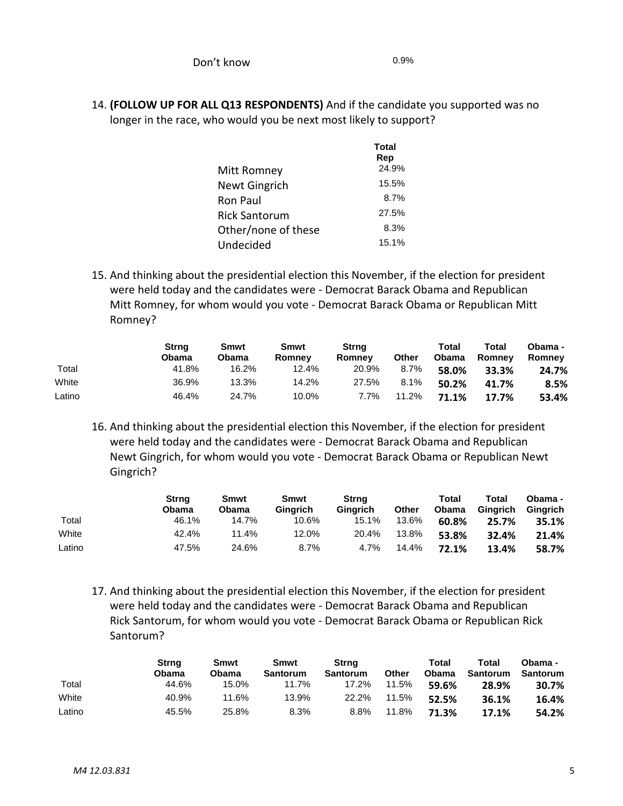Don't know 0.9%

14. **(FOLLOW UP FOR ALL Q13 RESPONDENTS)** And if the candidate you supported was no longer in the race, who would you be next most likely to support?

|                      | Total<br>Rep |
|----------------------|--------------|
| Mitt Romney          | 24.9%        |
| Newt Gingrich        | 15.5%        |
| Ron Paul             | 8.7%         |
| <b>Rick Santorum</b> | 27.5%        |
| Other/none of these  | 8.3%         |
| Undecided            | 15.1%        |

15. And thinking about the presidential election this November, if the election for president were held today and the candidates were - Democrat Barack Obama and Republican Mitt Romney, for whom would you vote - Democrat Barack Obama or Republican Mitt Romney?

|        | <b>Strng</b><br>Obama | Smwt<br><b>Obama</b> | Smwt<br>Romney | <b>Strng</b><br>Romnev | Other | Total<br><b>Obama</b> | Total<br>Romney | Obama -<br>Romney |
|--------|-----------------------|----------------------|----------------|------------------------|-------|-----------------------|-----------------|-------------------|
| Total  | 41.8%                 | 16.2%                | 12.4%          | 20.9%                  | 8.7%  | 58.0%                 | 33.3%           | 24.7%             |
| White  | 36.9%                 | 13.3%                | 14.2%          | 27.5%                  | 8.1%  | 50.2%                 | 41.7%           | 8.5%              |
| Latino | 46.4%                 | 24.7%                | 10.0%          | 7.7%                   | 11.2% | 71.1%                 | 17.7%           | 53.4%             |

16. And thinking about the presidential election this November, if the election for president were held today and the candidates were - Democrat Barack Obama and Republican Newt Gingrich, for whom would you vote - Democrat Barack Obama or Republican Newt Gingrich?

|        | <b>Strng</b><br><b>Obama</b> | Smwt<br><b>Obama</b> | Smwt<br>Gingrich | <b>Strng</b><br><b>Ginarich</b> | Other | Total<br><b>Obama</b> | Total<br>Ginarich | Obama -<br>Gingrich |
|--------|------------------------------|----------------------|------------------|---------------------------------|-------|-----------------------|-------------------|---------------------|
| Total  | 46.1%                        | 14.7%                | 10.6%            | 15.1%                           | 13.6% | 60.8%                 | 25.7%             | 35.1%               |
| White  | 42.4%                        | 11.4%                | 12.0%            | 20.4%                           | 13.8% | 53.8%                 | 32.4%             | 21.4%               |
| Latino | 47.5%                        | 24.6%                | 8.7%             | 4.7%                            | 14.4% | 72.1%                 | 13.4%             | 58.7%               |

17. And thinking about the presidential election this November, if the election for president were held today and the candidates were - Democrat Barack Obama and Republican Rick Santorum, for whom would you vote - Democrat Barack Obama or Republican Rick Santorum?

|        | Strng<br><b>Obama</b> | Smwt<br>Obama | Smwt<br>Santorum | <b>Strng</b><br><b>Santorum</b> | <b>Other</b> | Total<br><b>Obama</b> | Total<br>Santorum | Obama -<br><b>Santorum</b> |
|--------|-----------------------|---------------|------------------|---------------------------------|--------------|-----------------------|-------------------|----------------------------|
| Total  | 44.6%                 | 15.0%         | 11.7%            | 17.2%                           | 11.5%        | 59.6%                 | 28.9%             | 30.7%                      |
| White  | 40.9%                 | 11.6%         | 13.9%            | 22.2%                           | 11.5%        | 52.5%                 | 36.1%             | 16.4%                      |
| Latino | 45.5%                 | 25.8%         | 8.3%             | 8.8%                            | 11.8%        | 71.3%                 | 17.1%             | 54.2%                      |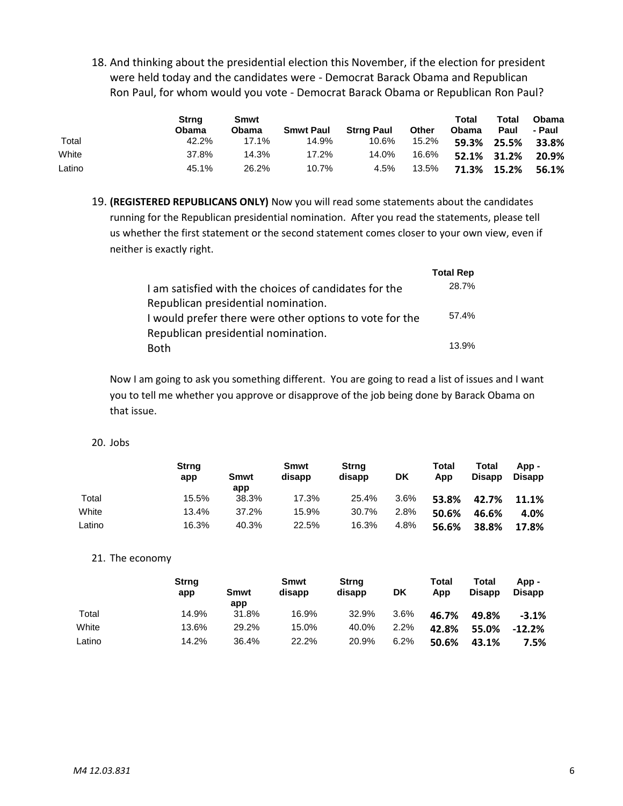18. And thinking about the presidential election this November, if the election for president were held today and the candidates were - Democrat Barack Obama and Republican Ron Paul, for whom would you vote - Democrat Barack Obama or Republican Ron Paul?

|        | Strna<br>Obama | Smwt<br><b>Obama</b> | <b>Smwt Paul</b> | <b>Strng Paul</b> | Other | Total<br><b>Obama</b> | Total<br>Paul | <b>Obama</b><br>- Paul |
|--------|----------------|----------------------|------------------|-------------------|-------|-----------------------|---------------|------------------------|
| Total  | 42.2%          | $17.1\%$             | 14.9%            | 10.6%             | 15.2% |                       |               | 59.3% 25.5% 33.8%      |
| White  | 37.8%          | 14.3%                | 17.2%            | 14.0%             | 16.6% |                       | 52.1% 31.2%   | 20.9%                  |
| Latino | 45.1%          | 26.2%                | 10.7%            | 4.5%              | 13.5% |                       | 71.3% 15.2%   | 56.1%                  |

19. **(REGISTERED REPUBLICANS ONLY)** Now you will read some statements about the candidates running for the Republican presidential nomination. After you read the statements, please tell us whether the first statement or the second statement comes closer to your own view, even if neither is exactly right.

|                                                         | <b>Total Rep</b> |
|---------------------------------------------------------|------------------|
| I am satisfied with the choices of candidates for the   | 28.7%            |
| Republican presidential nomination.                     |                  |
| I would prefer there were other options to vote for the | 57.4%            |
| Republican presidential nomination.                     |                  |
| <b>Both</b>                                             | 13.9%            |

Now I am going to ask you something different. You are going to read a list of issues and I want you to tell me whether you approve or disapprove of the job being done by Barack Obama on that issue.

#### 20. Jobs

|        | <b>Strng</b><br>app | Smwt<br>app | Smwt<br>disapp | Strng<br>disapp | DK   | <b>Total</b><br>App | Total<br><b>Disapp</b> | - App<br><b>Disapp</b> |
|--------|---------------------|-------------|----------------|-----------------|------|---------------------|------------------------|------------------------|
| Total  | 15.5%               | 38.3%       | 17.3%          | 25.4%           | 3.6% | 53.8%               | 42.7%                  | 11.1%                  |
| White  | 13.4%               | 37.2%       | 15.9%          | 30.7%           | 2.8% | 50.6%               | 46.6%                  | 4.0%                   |
| Latino | 16.3%               | 40.3%       | 22.5%          | 16.3%           | 4.8% | 56.6%               | 38.8%                  | 17.8%                  |

#### 21. The economy

|        | <b>Strng</b><br>app | Smwt<br>app | Smwt<br>disapp | <b>Strng</b><br>disapp | DK      | Total<br>App | Total<br><b>Disapp</b> | App -<br><b>Disapp</b> |
|--------|---------------------|-------------|----------------|------------------------|---------|--------------|------------------------|------------------------|
| Total  | 14.9%               | 31.8%       | 16.9%          | 32.9%                  | $3.6\%$ | 46.7%        | 49.8%                  | $-3.1%$                |
| White  | 13.6%               | 29.2%       | 15.0%          | 40.0%                  | 2.2%    | 42.8%        | 55.0%                  | $-12.2%$               |
| Latino | 14.2%               | 36.4%       | 22.2%          | 20.9%                  | 6.2%    | 50.6%        | 43.1%                  | 7.5%                   |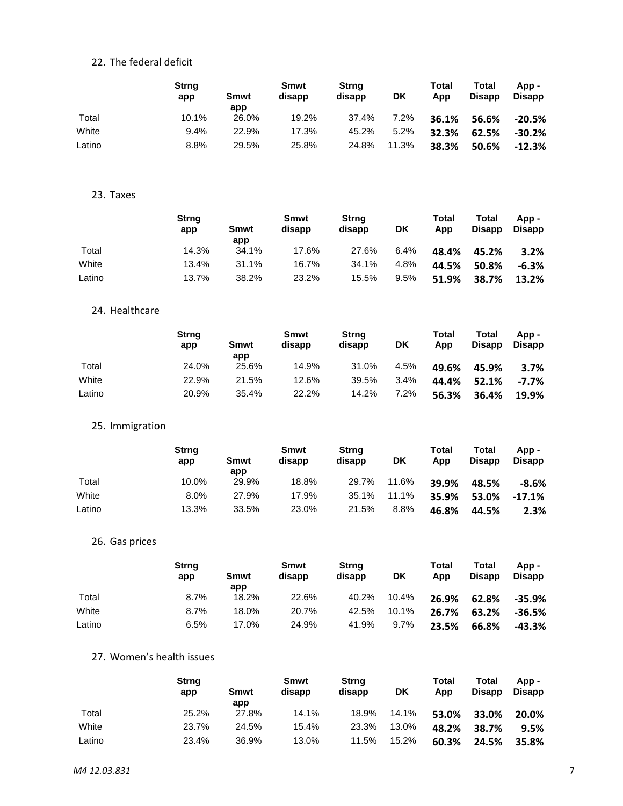### 22. The federal deficit

|        | <b>Strng</b><br>app | <b>Smwt</b><br>app | Smwt<br>disapp | <b>Strng</b><br>disapp | DK      | Total<br>App | Total<br><b>Disapp</b> | - App<br><b>Disapp</b> |
|--------|---------------------|--------------------|----------------|------------------------|---------|--------------|------------------------|------------------------|
| Total  | 10.1%               | 26.0%              | 19.2%          | 37.4%                  | $7.2\%$ | 36.1%        | 56.6%                  | $-20.5%$               |
| White  | 9.4%                | 22.9%              | 17.3%          | 45.2%                  | 5.2%    | 32.3%        | 62.5%                  | $-30.2%$               |
| Latino | 8.8%                | 29.5%              | 25.8%          | 24.8%                  | 11.3%   | 38.3%        | 50.6%                  | $-12.3%$               |

### 23. Taxes

|        | <b>Strng</b><br>app | <b>Smwt</b><br>app | <b>Smwt</b><br>disapp | <b>Strng</b><br>disapp | DK   | Total<br>App | Total<br><b>Disapp</b> | - App<br><b>Disapp</b> |
|--------|---------------------|--------------------|-----------------------|------------------------|------|--------------|------------------------|------------------------|
| Total  | 14.3%               | 34.1%              | 17.6%                 | 27.6%                  | 6.4% | 48.4%        | 45.2%                  | 3.2%                   |
| White  | 13.4%               | 31.1%              | 16.7%                 | 34.1%                  | 4.8% | 44.5%        | 50.8%                  | $-6.3%$                |
| Latino | 13.7%               | 38.2%              | 23.2%                 | 15.5%                  | 9.5% | 51.9%        | 38.7%                  | 13.2%                  |

### 24. Healthcare

|        | <b>Strng</b><br>app | Smwt<br>app | Smwt<br>disapp | <b>Strng</b><br>disapp | DK   | Total<br>App | Total<br><b>Disapp</b> | - App<br><b>Disapp</b> |
|--------|---------------------|-------------|----------------|------------------------|------|--------------|------------------------|------------------------|
| Total  | 24.0%               | 25.6%       | 14.9%          | 31.0%                  | 4.5% | 49.6%        | 45.9%                  | 3.7%                   |
| White  | 22.9%               | 21.5%       | 12.6%          | 39.5%                  | 3.4% | 44.4%        | 52.1%                  | $-7.7\%$               |
| Latino | 20.9%               | 35.4%       | 22.2%          | 14.2%                  | 7.2% | 56.3%        | 36.4%                  | 19.9%                  |

### 25. Immigration

|        | <b>Strng</b><br>app | Smwt<br>app | Smwt<br>disapp | <b>Strng</b><br>disapp | DK    | Total<br>App | Total<br><b>Disapp</b> | App -<br><b>Disapp</b> |
|--------|---------------------|-------------|----------------|------------------------|-------|--------------|------------------------|------------------------|
| Total  | 10.0%               | 29.9%       | 18.8%          | 29.7%                  | 11.6% | 39.9%        | 48.5%                  | $-8.6%$                |
| White  | $8.0\%$             | 27.9%       | 17.9%          | 35.1%                  | 11.1% | 35.9%        | 53.0%                  | $-17.1%$               |
| Latino | 13.3%               | 33.5%       | 23.0%          | 21.5%                  | 8.8%  | 46.8%        | 44.5%                  | 2.3%                   |

## 26. Gas prices

|        | Strna<br>app | Smwt<br>app | Smwt<br>disapp | <b>Strng</b><br>disapp | DK       | Total<br>App | Total<br><b>Disapp</b> | App -<br><b>Disapp</b> |
|--------|--------------|-------------|----------------|------------------------|----------|--------------|------------------------|------------------------|
| Total  | 8.7%         | 18.2%       | 22.6%          | 40.2%                  | 10.4%    | 26.9%        | 62.8%                  | $-35.9%$               |
| White  | 8.7%         | 18.0%       | 20.7%          | 42.5%                  | $10.1\%$ | 26.7%        | 63.2%                  | $-36.5%$               |
| Latino | 6.5%         | 17.0%       | 24.9%          | 41.9%                  | $9.7\%$  | 23.5%        | 66.8%                  | $-43.3%$               |

#### 27. Women's health issues

|        | <b>Strng</b><br>app | Smwt<br>app | Smwt<br>disapp | <b>Strng</b><br>disapp | DK    | Total<br>App | Total<br><b>Disapp</b> | - App<br><b>Disapp</b> |
|--------|---------------------|-------------|----------------|------------------------|-------|--------------|------------------------|------------------------|
| Total  | 25.2%               | 27.8%       | 14.1%          | 18.9%                  | 14.1% | 53.0%        | 33.0%                  | 20.0%                  |
| White  | 23.7%               | 24.5%       | 15.4%          | 23.3%                  | 13.0% | 48.2%        | 38.7%                  | 9.5%                   |
| Latino | 23.4%               | 36.9%       | 13.0%          | 11.5%                  | 15.2% | 60.3%        | 24.5%                  | 35.8%                  |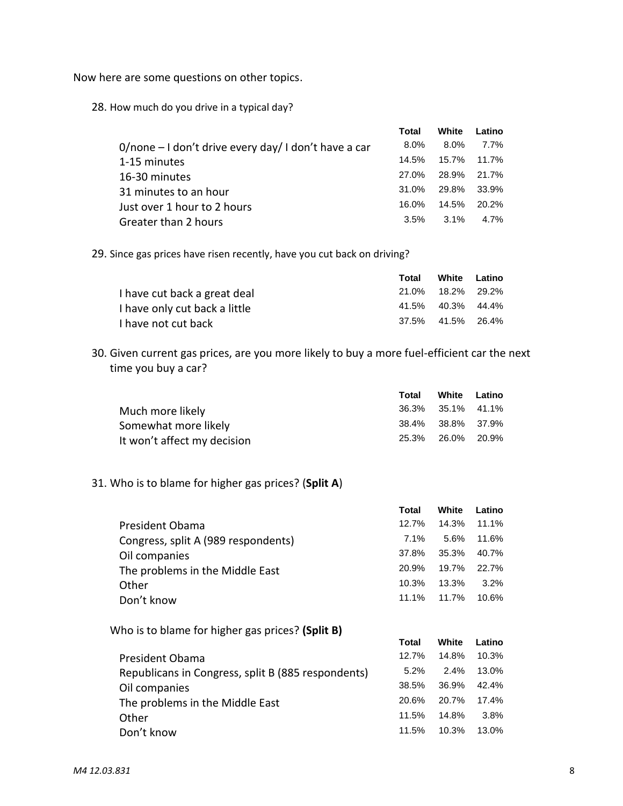Now here are some questions on other topics.

28. How much do you drive in a typical day?

| <b>Total</b> | White   | Latino                                                   |
|--------------|---------|----------------------------------------------------------|
| 8.0%         | $8.0\%$ | 7.7%                                                     |
| 14.5%        |         | 15.7% 11.7%                                              |
| 27.0%        |         |                                                          |
|              |         |                                                          |
| 16.0%        |         | 14.5% 20.2%                                              |
|              |         |                                                          |
|              |         | 28.9% 21.7%<br>31.0% 29.8% 33.9%<br>$3.1\%$ 4.7%<br>3.5% |

29. Since gas prices have risen recently, have you cut back on driving?

|                               | Total             | White Latino      |  |
|-------------------------------|-------------------|-------------------|--|
| I have cut back a great deal  |                   | 21.0% 18.2% 29.2% |  |
| I have only cut back a little |                   | 41.5% 40.3% 44.4% |  |
| I have not cut back           | 37.5% 41.5% 26.4% |                   |  |

30. Given current gas prices, are you more likely to buy a more fuel-efficient car the next time you buy a car?

|                             | Total | White Latino      |  |
|-----------------------------|-------|-------------------|--|
| Much more likely            |       | 36.3% 35.1% 41.1% |  |
| Somewhat more likely        |       | 38.4% 38.8% 37.9% |  |
| It won't affect my decision |       | 25.3% 26.0% 20.9% |  |

# 31. Who is to blame for higher gas prices? (**Split A**)

|                                                                                                                           | Total                           | White                           | Latino                           |
|---------------------------------------------------------------------------------------------------------------------------|---------------------------------|---------------------------------|----------------------------------|
| President Obama                                                                                                           | 12.7%                           | 14.3%                           | 11.1%                            |
| Congress, split A (989 respondents)                                                                                       | 7.1%                            | 5.6%                            | 11.6%                            |
| Oil companies                                                                                                             | 37.8%                           | 35.3%                           | 40.7%                            |
| The problems in the Middle East                                                                                           | 20.9%                           | 19.7%                           | 22.7%                            |
| Other                                                                                                                     | 10.3%                           | 13.3%                           | 3.2%                             |
| Don't know                                                                                                                | 11.1%                           | 11.7%                           | 10.6%                            |
| Who is to blame for higher gas prices? (Split B)                                                                          | Total                           | White                           | Latino                           |
| President Obama<br>Republicans in Congress, split B (885 respondents)<br>Oil companies<br>The problems in the Middle East | 12.7%<br>5.2%<br>38.5%<br>20.6% | 14.8%<br>2.4%<br>36.9%<br>20.7% | 10.3%<br>13.0%<br>42.4%<br>17.4% |
| Other<br>Don't know                                                                                                       | 11.5%<br>11.5%                  | 14.8%<br>10.3%                  | 3.8%<br>13.0%                    |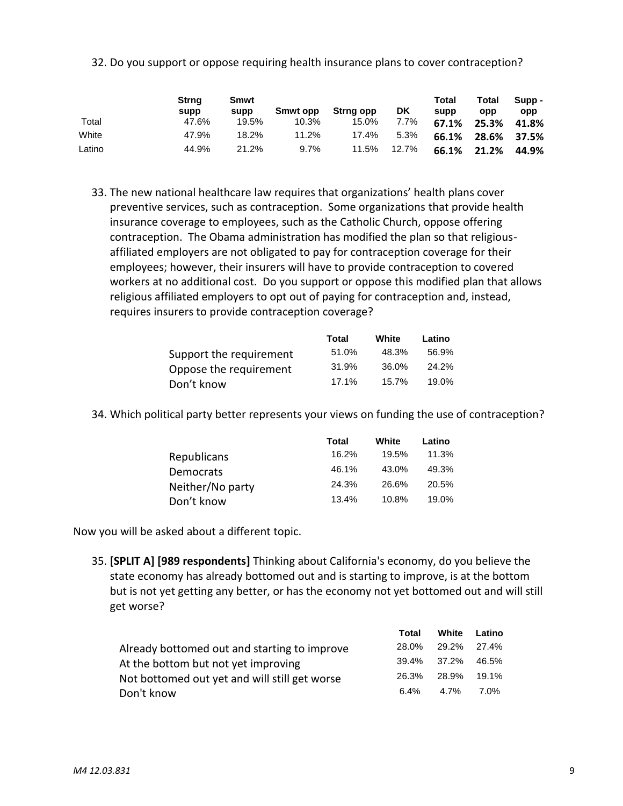32. Do you support or oppose requiring health insurance plans to cover contraception?

|        | <b>Strng</b><br>supp | Smwt<br>supp | Smwt opp | Strng opp | DK    | Total<br>supp | Total<br>opp | Supp -<br>opp |
|--------|----------------------|--------------|----------|-----------|-------|---------------|--------------|---------------|
| Total  | 47.6%                | 19.5%        | 10.3%    | 15.0%     | 7.7%  | 67.1%         | 25.3%        | 41.8%         |
| White  | 47.9%                | 18.2%        | 11.2%    | 17.4%     | 5.3%  | 66.1%         | 28.6%        | 37.5%         |
| Latino | 44.9%                | 21.2%        | 9.7%     | 11.5%     | 12.7% | 66.1%         | 21.2%        | 44.9%         |

33. The new national healthcare law requires that organizations' health plans cover preventive services, such as contraception. Some organizations that provide health insurance coverage to employees, such as the Catholic Church, oppose offering contraception. The Obama administration has modified the plan so that religiousaffiliated employers are not obligated to pay for contraception coverage for their employees; however, their insurers will have to provide contraception to covered workers at no additional cost. Do you support or oppose this modified plan that allows religious affiliated employers to opt out of paying for contraception and, instead, requires insurers to provide contraception coverage?

|                         | Total | White    | Latino   |
|-------------------------|-------|----------|----------|
| Support the requirement | 51.0% | 48.3%    | 56.9%    |
| Oppose the requirement  | 31.9% | 36.0%    | 24.2%    |
| Don't know              | 17.1% | $15.7\%$ | $19.0\%$ |

34. Which political party better represents your views on funding the use of contraception?

|                  | Total | White | Latino |
|------------------|-------|-------|--------|
| Republicans      | 16.2% | 19.5% | 11.3%  |
| Democrats        | 46.1% | 43.0% | 49.3%  |
| Neither/No party | 24.3% | 26.6% | 20.5%  |
| Don't know       | 13.4% | 10.8% | 19.0%  |

Now you will be asked about a different topic.

35. **[SPLIT A] [989 respondents]** Thinking about California's economy, do you believe the state economy has already bottomed out and is starting to improve, is at the bottom but is not yet getting any better, or has the economy not yet bottomed out and will still get worse?

|                                               | Total       | White Latino |       |
|-----------------------------------------------|-------------|--------------|-------|
| Already bottomed out and starting to improve  | 28.0%       | 29.2% 27.4%  |       |
| At the bottom but not yet improving           | 39.4% 37.2% |              | 46.5% |
| Not bottomed out yet and will still get worse | 26.3%       | 28.9% 19.1%  |       |
| Don't know                                    | 6 4%        | $4.7\%$      | 7.0%  |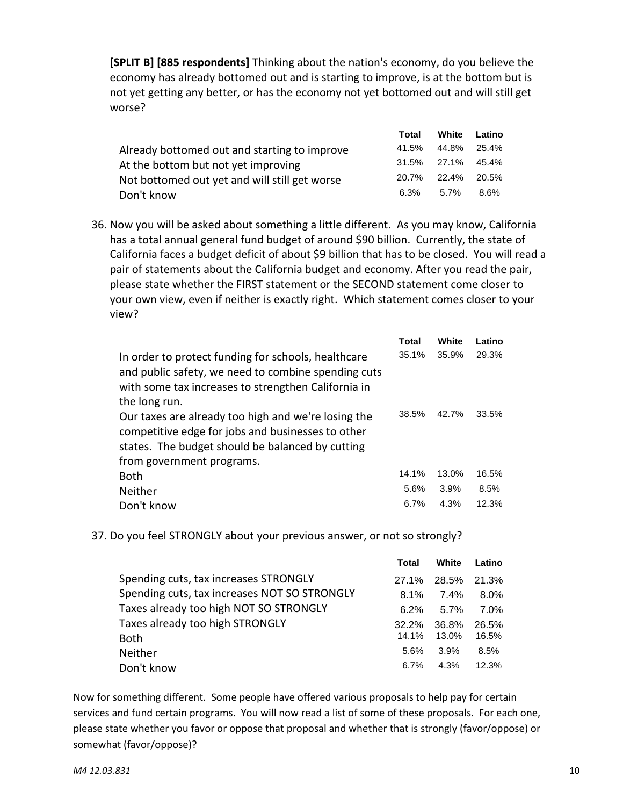**[SPLIT B] [885 respondents]** Thinking about the nation's economy, do you believe the economy has already bottomed out and is starting to improve, is at the bottom but is not yet getting any better, or has the economy not yet bottomed out and will still get worse?

|                                               | Total |                   | White Latino |
|-----------------------------------------------|-------|-------------------|--------------|
| Already bottomed out and starting to improve  | 41.5% |                   | 44.8% 25.4%  |
| At the bottom but not yet improving           |       | 31.5% 27.1% 45.4% |              |
| Not bottomed out yet and will still get worse |       | 20.7% 22.4% 20.5% |              |
| Don't know                                    | 6.3%  | 5.7%              | 8.6%         |

36. Now you will be asked about something a little different. As you may know, California has a total annual general fund budget of around \$90 billion. Currently, the state of California faces a budget deficit of about \$9 billion that has to be closed. You will read a pair of statements about the California budget and economy. After you read the pair, please state whether the FIRST statement or the SECOND statement come closer to your own view, even if neither is exactly right. Which statement comes closer to your view?

|                                                                                                                                                                   | <b>Total</b> | White | Latino |
|-------------------------------------------------------------------------------------------------------------------------------------------------------------------|--------------|-------|--------|
| In order to protect funding for schools, healthcare<br>and public safety, we need to combine spending cuts<br>with some tax increases to strengthen California in | 35.1%        | 35.9% | 29.3%  |
| the long run.                                                                                                                                                     |              |       |        |
| Our taxes are already too high and we're losing the<br>competitive edge for jobs and businesses to other<br>states. The budget should be balanced by cutting      | 38.5%        | 42.7% | 33.5%  |
| from government programs.                                                                                                                                         |              |       |        |
| Both                                                                                                                                                              | 14.1%        | 13.0% | 16.5%  |
| Neither                                                                                                                                                           | 5.6%         | 3.9%  | 8.5%   |
| Don't know                                                                                                                                                        | 6.7%         | 4.3%  | 12.3%  |
|                                                                                                                                                                   |              |       |        |

37. Do you feel STRONGLY about your previous answer, or not so strongly?

|                                              | <b>Total</b> | White   | Latino |
|----------------------------------------------|--------------|---------|--------|
| Spending cuts, tax increases STRONGLY        | 27.1%        | 28.5%   | 21.3%  |
| Spending cuts, tax increases NOT SO STRONGLY | 8.1%         | 7.4%    | 8.0%   |
| Taxes already too high NOT SO STRONGLY       | 6.2%         | $5.7\%$ | 7.0%   |
| Taxes already too high STRONGLY              | 32.2%        | 36.8%   | 26.5%  |
| <b>Both</b>                                  | 14.1%        | 13.0%   | 16.5%  |
| <b>Neither</b>                               | 5.6%         | 3.9%    | 8.5%   |
| Don't know                                   | $6.7\%$      | 4.3%    | 12.3%  |

Now for something different. Some people have offered various proposals to help pay for certain services and fund certain programs. You will now read a list of some of these proposals. For each one, please state whether you favor or oppose that proposal and whether that is strongly (favor/oppose) or somewhat (favor/oppose)?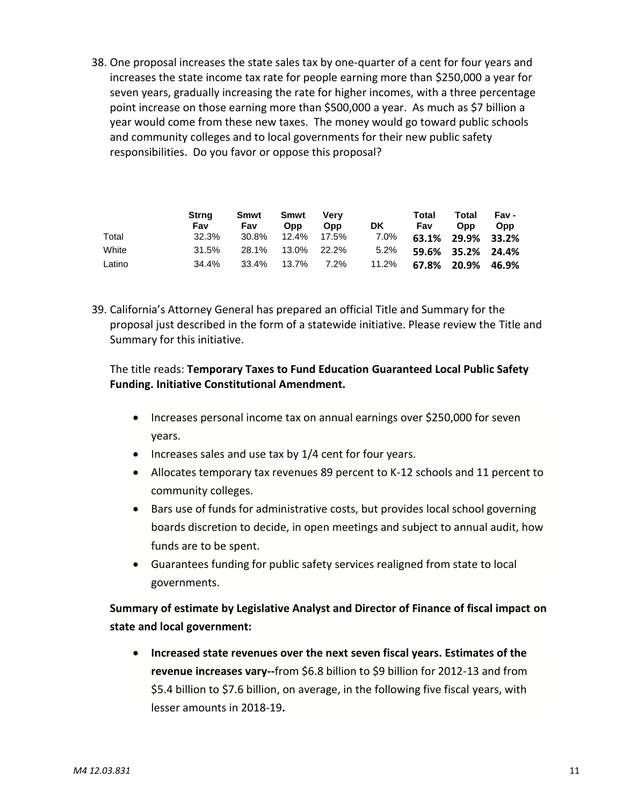38. One proposal increases the state sales tax by one-quarter of a cent for four years and increases the state income tax rate for people earning more than \$250,000 a year for seven years, gradually increasing the rate for higher incomes, with a three percentage point increase on those earning more than \$500,000 a year. As much as \$7 billion a year would come from these new taxes. The money would go toward public schools and community colleges and to local governments for their new public safety responsibilities. Do you favor or oppose this proposal?

|        | <b>Strng</b><br>Fav | Smwt<br>Fav | Smwt<br>Opp       | Verv<br>Opp | DK.   | Total<br>Fav      | Total<br><b>Opp</b> | Fav-<br><b>Opp</b> |
|--------|---------------------|-------------|-------------------|-------------|-------|-------------------|---------------------|--------------------|
| Total  | 32.3%               | 30.8%       | 12.4% 17.5%       |             | 7.0%  |                   | 63.1% 29.9% 33.2%   |                    |
| White  | 31.5%               |             | 28.1% 13.0% 22.2% |             | 5.2%  | 59.6% 35.2% 24.4% |                     |                    |
| Latino | 34.4%               |             | 33.4% 13.7% 7.2%  |             | 11.2% |                   | 67.8% 20.9% 46.9%   |                    |

39. California's Attorney General has prepared an official Title and Summary for the proposal just described in the form of a statewide initiative. Please review the Title and Summary for this initiative.

### The title reads: **Temporary Taxes to Fund Education Guaranteed Local Public Safety Funding. Initiative Constitutional Amendment.**

- Increases personal income tax on annual earnings over \$250,000 for seven years.
- Increases sales and use tax by 1/4 cent for four years.
- Allocates temporary tax revenues 89 percent to K-12 schools and 11 percent to community colleges.
- Bars use of funds for administrative costs, but provides local school governing boards discretion to decide, in open meetings and subject to annual audit, how funds are to be spent.
- Guarantees funding for public safety services realigned from state to local governments.

# **Summary of estimate by Legislative Analyst and Director of Finance of fiscal impact on state and local government:**

 **Increased state revenues over the next seven fiscal years. Estimates of the revenue increases vary--**from \$6.8 billion to \$9 billion for 2012-13 and from \$5.4 billion to \$7.6 billion, on average, in the following five fiscal years, with lesser amounts in 2018-19**.**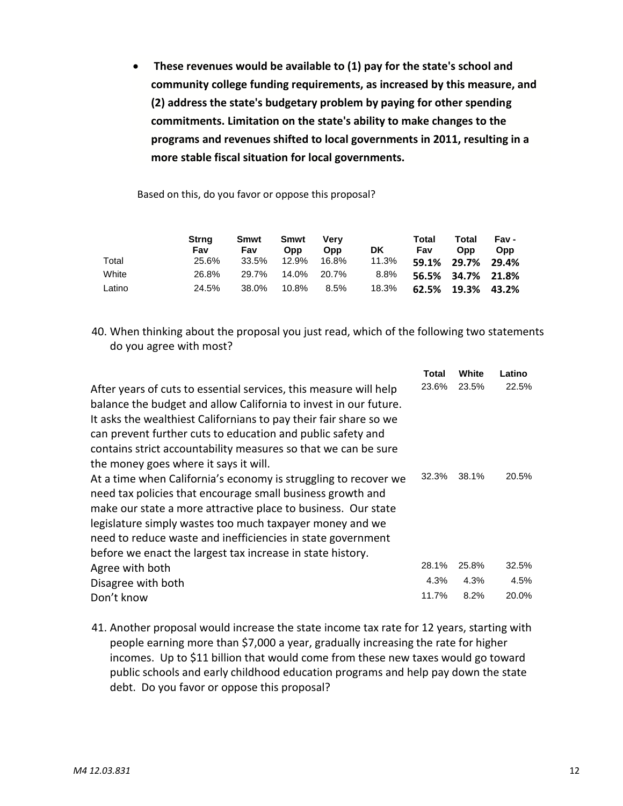**These revenues would be available to (1) pay for the state's school and community college funding requirements, as increased by this measure, and (2) address the state's budgetary problem by paying for other spending commitments. Limitation on the state's ability to make changes to the programs and revenues shifted to local governments in 2011, resulting in a more stable fiscal situation for local governments.**

Based on this, do you favor or oppose this proposal?

|        | Strna<br>Fav | Smwt<br>Fav | Smwt<br>Opp | Verv<br><b>Opp</b> | DK      | Total<br>Fav | Total<br><b>Opp</b> | Fav -<br>Opp |
|--------|--------------|-------------|-------------|--------------------|---------|--------------|---------------------|--------------|
| Total  | 25.6%        | 33.5%       | 12.9%       | 16.8%              | 11.3%   |              | 59.1% 29.7% 29.4%   |              |
| White  | 26.8%        | 29.7%       | 14.0%       | 20.7%              | $8.8\%$ |              | 56.5% 34.7% 21.8%   |              |
| Latino | 24.5%        | 38.0%       | 10.8%       | 8.5%               | 18.3%   |              | 62.5% 19.3% 43.2%   |              |

40. When thinking about the proposal you just read, which of the following two statements do you agree with most?

|                                                                                                                                                                                                                                                                                                                                                                                         | Total | White | Latino |
|-----------------------------------------------------------------------------------------------------------------------------------------------------------------------------------------------------------------------------------------------------------------------------------------------------------------------------------------------------------------------------------------|-------|-------|--------|
| After years of cuts to essential services, this measure will help<br>balance the budget and allow California to invest in our future.<br>It asks the wealthiest Californians to pay their fair share so we                                                                                                                                                                              | 23.6% | 23.5% | 22.5%  |
| can prevent further cuts to education and public safety and<br>contains strict accountability measures so that we can be sure                                                                                                                                                                                                                                                           |       |       |        |
| the money goes where it says it will.                                                                                                                                                                                                                                                                                                                                                   |       |       |        |
| At a time when California's economy is struggling to recover we<br>need tax policies that encourage small business growth and<br>make our state a more attractive place to business. Our state<br>legislature simply wastes too much taxpayer money and we<br>need to reduce waste and inefficiencies in state government<br>before we enact the largest tax increase in state history. | 32.3% | 38.1% | 20.5%  |
| Agree with both                                                                                                                                                                                                                                                                                                                                                                         | 28.1% | 25.8% | 32.5%  |
| Disagree with both                                                                                                                                                                                                                                                                                                                                                                      | 4.3%  | 4.3%  | 4.5%   |
| Don't know                                                                                                                                                                                                                                                                                                                                                                              | 11.7% | 8.2%  | 20.0%  |

41. Another proposal would increase the state income tax rate for 12 years, starting with people earning more than \$7,000 a year, gradually increasing the rate for higher incomes. Up to \$11 billion that would come from these new taxes would go toward public schools and early childhood education programs and help pay down the state debt. Do you favor or oppose this proposal?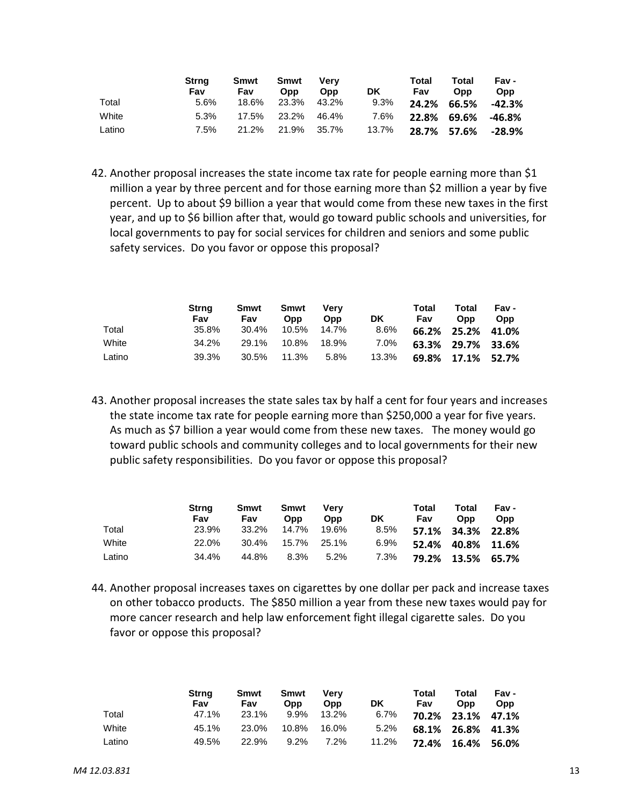|        | Strna<br>Fav | Smwt<br>Fav | Smwt<br><b>Opp</b> | <b>Verv</b><br><b>Opp</b> | DK.  | Total<br>Fav | Total<br>Opp | Fav -<br>Opp |
|--------|--------------|-------------|--------------------|---------------------------|------|--------------|--------------|--------------|
| Total  | $5.6\%$      |             | 18.6% 23.3% 43.2%  |                           | 9.3% |              | 24.2% 66.5%  | -42.3%       |
| White  | 5.3%         |             | 17.5% 23.2% 46.4%  |                           | 7.6% |              | 22.8% 69.6%  | -46.8%       |
| Latino | 7.5%         |             |                    | 21.2% 21.9% 35.7% 13.7%   |      |              | 28.7% 57.6%  | -28.9%       |

42. Another proposal increases the state income tax rate for people earning more than \$1 million a year by three percent and for those earning more than \$2 million a year by five percent. Up to about \$9 billion a year that would come from these new taxes in the first year, and up to \$6 billion after that, would go toward public schools and universities, for local governments to pay for social services for children and seniors and some public safety services. Do you favor or oppose this proposal?

|        | Strna<br>Fav | Smwt<br>Fav | Smwt<br><b>Opp</b> | Verv<br><b>Opp</b> | DK.   | Total<br>Fav | Total<br><b>Opp</b> | Fav -<br><b>Opp</b> |
|--------|--------------|-------------|--------------------|--------------------|-------|--------------|---------------------|---------------------|
| Total  | 35.8%        |             | 30.4% 10.5% 14.7%  |                    | 8.6%  |              | 66.2% 25.2% 41.0%   |                     |
| White  | 34.2%        |             | 29.1% 10.8%        | 18.9%              | 7.0%  |              | 63.3% 29.7% 33.6%   |                     |
| Latino | 39.3%        |             | 30.5% 11.3%        | 5.8%               | 13.3% |              | 69.8% 17.1% 52.7%   |                     |

43. Another proposal increases the state sales tax by half a cent for four years and increases the state income tax rate for people earning more than \$250,000 a year for five years. As much as \$7 billion a year would come from these new taxes. The money would go toward public schools and community colleges and to local governments for their new public safety responsibilities. Do you favor or oppose this proposal?

|        | Strna<br>Fav | Smwt<br>Fav | Smwt<br>Opp       | Verv<br><b>Opp</b> | <b>DK</b> | Total<br>Fav      | Total<br><b>Opp</b> | Fav -<br><b>Opp</b> |
|--------|--------------|-------------|-------------------|--------------------|-----------|-------------------|---------------------|---------------------|
| Total  | 23.9%        |             | 33.2% 14.7%       | 19.6%              | 8.5%      | 57.1% 34.3% 22.8% |                     |                     |
| White  | <b>22.0%</b> |             | 30.4% 15.7% 25.1% |                    | $6.9\%$   |                   | 52.4% 40.8% 11.6%   |                     |
| Latino | 34.4%        | 44.8%       | 8.3%              | 5.2%               | 7.3%      |                   | 79.2% 13.5% 65.7%   |                     |

44. Another proposal increases taxes on cigarettes by one dollar per pack and increase taxes on other tobacco products. The \$850 million a year from these new taxes would pay for more cancer research and help law enforcement fight illegal cigarette sales. Do you favor or oppose this proposal?

|        | Strna<br>Fav | Smwt<br>Fav | Smwt<br>Opp  | Verv<br><b>Opp</b> | <b>DK</b> | Total<br>Fav | Total<br>Opp      | Fav -<br><b>Opp</b> |
|--------|--------------|-------------|--------------|--------------------|-----------|--------------|-------------------|---------------------|
| Total  | 47.1%        | 23.1%       | 9.9%         | 13.2%              | 6.7%      |              | 70.2% 23.1% 47.1% |                     |
| White  | 45.1%        | 23.0%       | 10.8%  16.0% |                    | $5.2\%$   |              | 68.1% 26.8% 41.3% |                     |
| Latino | 49.5%        | 22.9%       | 9.2% 7.2%    |                    | 11.2%     |              | 72.4% 16.4% 56.0% |                     |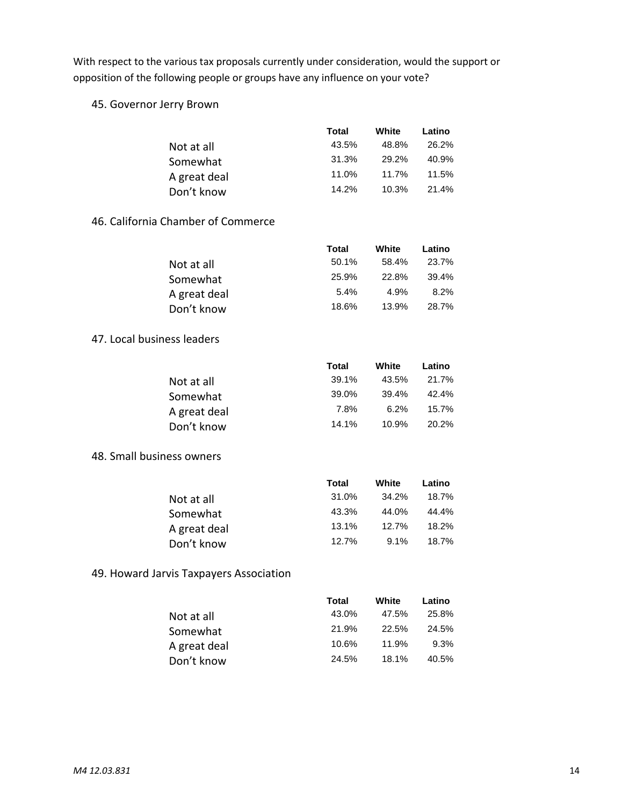With respect to the various tax proposals currently under consideration, would the support or opposition of the following people or groups have any influence on your vote?

45. Governor Jerry Brown

|              | Total    | White    | Latino |
|--------------|----------|----------|--------|
| Not at all   | 43.5%    | 48.8%    | 26.2%  |
| Somewhat     | 31.3%    | 29.2%    | 40.9%  |
| A great deal | 11.0%    | 11.7%    | 11.5%  |
| Don't know   | $14.2\%$ | $10.3\%$ | 21.4%  |

### 46. California Chamber of Commerce

|              | Total | White | Latino  |
|--------------|-------|-------|---------|
| Not at all   | 50.1% | 58.4% | 23.7%   |
| Somewhat     | 25.9% | 22.8% | 39.4%   |
| A great deal | 5.4%  | 4.9%  | $8.2\%$ |
| Don't know   | 18.6% | 13.9% | 28.7%   |
|              |       |       |         |

47. Local business leaders

|              | Total    | White    | Latino |
|--------------|----------|----------|--------|
| Not at all   | 39.1%    | 43.5%    | 21.7%  |
| Somewhat     | 39.0%    | 39.4%    | 42.4%  |
| A great deal | 7.8%     | 6.2%     | 15.7%  |
| Don't know   | $14.1\%$ | $10.9\%$ | 20.2%  |
|              |          |          |        |

#### 48. Small business owners

|              | Total | White    | Latino   |
|--------------|-------|----------|----------|
| Not at all   | 31.0% | 34.2%    | 18.7%    |
| Somewhat     | 43.3% | 44.0%    | 44.4%    |
| A great deal | 13.1% | $12.7\%$ | $18.2\%$ |
| Don't know   | 12.7% | 9.1%     | 18.7%    |

### 49. Howard Jarvis Taxpayers Association

| 25.8% |
|-------|
| 24.5% |
| 9.3%  |
| 40.5% |
|       |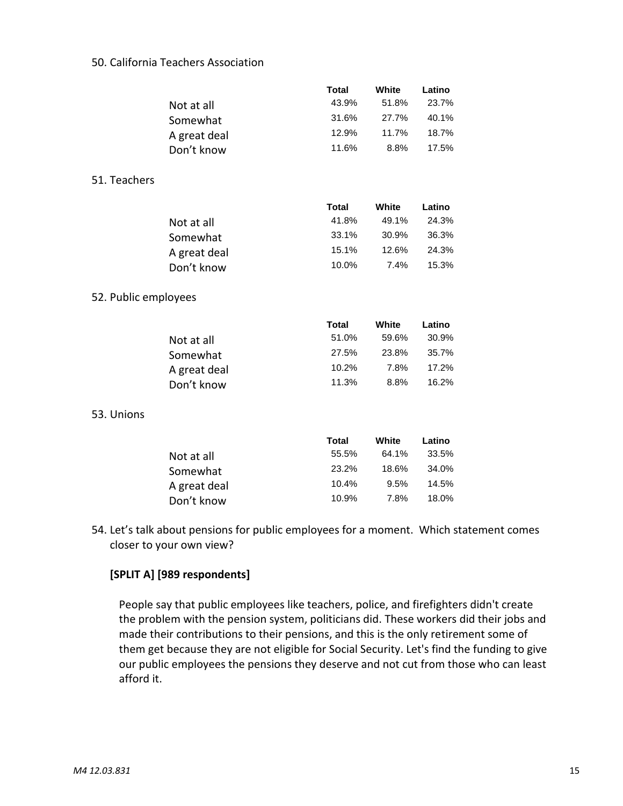### 50. California Teachers Association

|                      |              | <b>Total</b> | White | Latino |  |
|----------------------|--------------|--------------|-------|--------|--|
|                      | Not at all   | 43.9%        | 51.8% | 23.7%  |  |
|                      | Somewhat     | 31.6%        | 27.7% | 40.1%  |  |
|                      | A great deal | 12.9%        | 11.7% | 18.7%  |  |
|                      | Don't know   | 11.6%        | 8.8%  | 17.5%  |  |
| 51. Teachers         |              |              |       |        |  |
|                      |              | <b>Total</b> | White | Latino |  |
|                      | Not at all   | 41.8%        | 49.1% | 24.3%  |  |
|                      | Somewhat     | 33.1%        | 30.9% | 36.3%  |  |
|                      | A great deal | 15.1%        | 12.6% | 24.3%  |  |
|                      | Don't know   | 10.0%        | 7.4%  | 15.3%  |  |
| 52. Public employees |              |              |       |        |  |
|                      |              | <b>Total</b> | White | Latino |  |
|                      | Not at all   | 51.0%        | 59.6% | 30.9%  |  |
|                      | Somewhat     | 27.5%        | 23.8% | 35.7%  |  |
|                      | A great deal | 10.2%        | 7.8%  | 17.2%  |  |
|                      | Don't know   | 11.3%        | 8.8%  | 16.2%  |  |
| 53. Unions           |              |              |       |        |  |
|                      |              | <b>Total</b> | White | Latino |  |
|                      | Not at all   | 55.5%        | 64.1% | 33.5%  |  |
|                      | Somewhat     | 23.2%        | 18.6% | 34.0%  |  |
|                      | A great deal | 10.4%        | 9.5%  | 14.5%  |  |
|                      | Don't know   | 10.9%        | 7.8%  | 18.0%  |  |

54. Let's talk about pensions for public employees for a moment. Which statement comes closer to your own view?

### **[SPLIT A] [989 respondents]**

People say that public employees like teachers, police, and firefighters didn't create the problem with the pension system, politicians did. These workers did their jobs and made their contributions to their pensions, and this is the only retirement some of them get because they are not eligible for Social Security. Let's find the funding to give our public employees the pensions they deserve and not cut from those who can least afford it.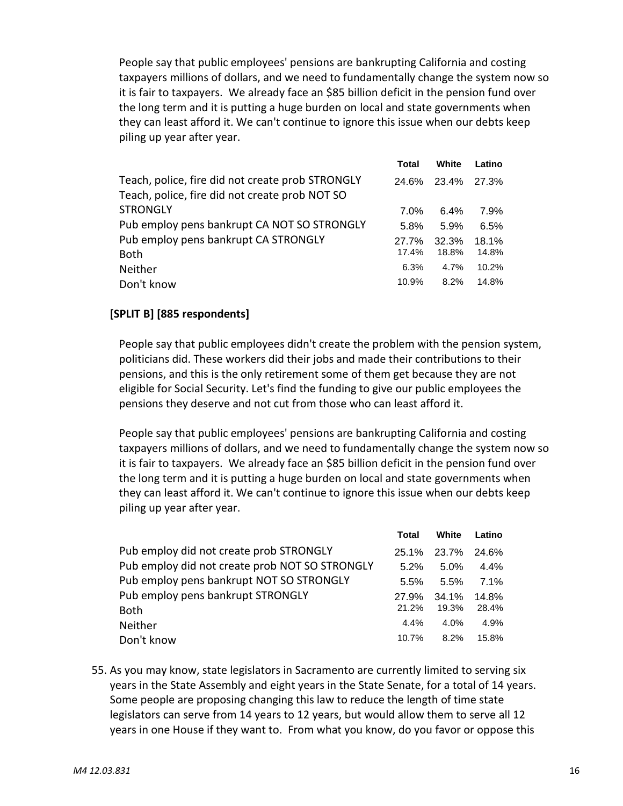People say that public employees' pensions are bankrupting California and costing taxpayers millions of dollars, and we need to fundamentally change the system now so it is fair to taxpayers. We already face an \$85 billion deficit in the pension fund over the long term and it is putting a huge burden on local and state governments when they can least afford it. We can't continue to ignore this issue when our debts keep piling up year after year.

| <b>Total</b> | White | Latino |
|--------------|-------|--------|
| 24.6%        | 23.4% | 27.3%  |
|              |       |        |
| $7.0\%$      | 6.4%  | 7.9%   |
| 5.8%         | 5.9%  | 6.5%   |
| 27.7%        | 32.3% | 18.1%  |
| 17.4%        | 18.8% | 14.8%  |
| 6.3%         | 4.7%  | 10.2%  |
| 10.9%        | 8.2%  | 14.8%  |
|              |       |        |

### **[SPLIT B] [885 respondents]**

People say that public employees didn't create the problem with the pension system, politicians did. These workers did their jobs and made their contributions to their pensions, and this is the only retirement some of them get because they are not eligible for Social Security. Let's find the funding to give our public employees the pensions they deserve and not cut from those who can least afford it.

People say that public employees' pensions are bankrupting California and costing taxpayers millions of dollars, and we need to fundamentally change the system now so it is fair to taxpayers. We already face an \$85 billion deficit in the pension fund over the long term and it is putting a huge burden on local and state governments when they can least afford it. We can't continue to ignore this issue when our debts keep piling up year after year.

|                                                | <b>Total</b> | White | Latino |
|------------------------------------------------|--------------|-------|--------|
| Pub employ did not create prob STRONGLY        | 25.1%        | 23.7% | 24.6%  |
| Pub employ did not create prob NOT SO STRONGLY | 5.2%         | 5.0%  | 4.4%   |
| Pub employ pens bankrupt NOT SO STRONGLY       | 5.5%         | 5.5%  | 7.1%   |
| Pub employ pens bankrupt STRONGLY              | 27.9%        | 34.1% | 14.8%  |
| Both                                           | 21.2%        | 19.3% | 28.4%  |
| Neither                                        | 4.4%         | 4.0%  | 4.9%   |
| Don't know                                     | 10.7%        | 8.2%  | 15.8%  |

55. As you may know, state legislators in Sacramento are currently limited to serving six years in the State Assembly and eight years in the State Senate, for a total of 14 years. Some people are proposing changing this law to reduce the length of time state legislators can serve from 14 years to 12 years, but would allow them to serve all 12 years in one House if they want to. From what you know, do you favor or oppose this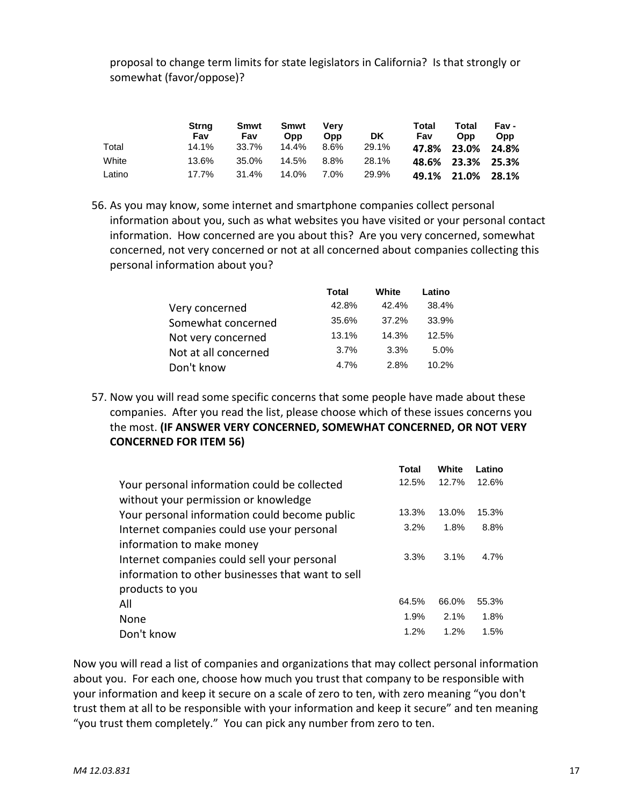proposal to change term limits for state legislators in California? Is that strongly or somewhat (favor/oppose)?

|        | <b>Strng</b><br>Fav | Smwt<br>Fav | Smwt<br>Opp | Verv<br>Opp | DK    | Total<br>Fav | Total<br><b>Opp</b> | Fav -<br><b>Opp</b> |
|--------|---------------------|-------------|-------------|-------------|-------|--------------|---------------------|---------------------|
| Total  | 14.1%               | 33.7%       | 14.4%       | $8.6\%$     | 29.1% |              | 47.8% 23.0% 24.8%   |                     |
| White  | 13.6%               | 35.0%       | 14.5%       | $8.8\%$     | 28.1% |              | 48.6% 23.3% 25.3%   |                     |
| Latino | $17.7\%$            | 31.4%       | 14.0%       | 7.0%        | 29.9% |              | 49.1% 21.0% 28.1%   |                     |

56. As you may know, some internet and smartphone companies collect personal information about you, such as what websites you have visited or your personal contact information. How concerned are you about this? Are you very concerned, somewhat concerned, not very concerned or not at all concerned about companies collecting this personal information about you?

|                      | Total | White | Latino |
|----------------------|-------|-------|--------|
| Very concerned       | 42.8% | 42.4% | 38.4%  |
| Somewhat concerned   | 35.6% | 37.2% | 33.9%  |
| Not very concerned   | 13.1% | 14.3% | 12.5%  |
| Not at all concerned | 3.7%  | 3.3%  | 5.0%   |
| Don't know           | 4.7%  | 2.8%  | 10.2%  |

57. Now you will read some specific concerns that some people have made about these companies. After you read the list, please choose which of these issues concerns you the most. **(IF ANSWER VERY CONCERNED, SOMEWHAT CONCERNED, OR NOT VERY CONCERNED FOR ITEM 56)**

|                                                   | <b>Total</b> | White | Latino |
|---------------------------------------------------|--------------|-------|--------|
| Your personal information could be collected      | 12.5%        | 12.7% | 12.6%  |
| without your permission or knowledge              |              |       |        |
| Your personal information could become public     | 13.3%        | 13.0% | 15.3%  |
| Internet companies could use your personal        | 3.2%         | 1.8%  | 8.8%   |
| information to make money                         |              |       |        |
| Internet companies could sell your personal       | 3.3%         | 3.1%  | 4.7%   |
| information to other businesses that want to sell |              |       |        |
| products to you                                   |              |       |        |
| All                                               | 64.5%        | 66.0% | 55.3%  |
| None                                              | 1.9%         | 2.1%  | 1.8%   |
| Don't know                                        | 1.2%         | 1.2%  | 1.5%   |

Now you will read a list of companies and organizations that may collect personal information about you. For each one, choose how much you trust that company to be responsible with your information and keep it secure on a scale of zero to ten, with zero meaning "you don't trust them at all to be responsible with your information and keep it secure" and ten meaning "you trust them completely." You can pick any number from zero to ten.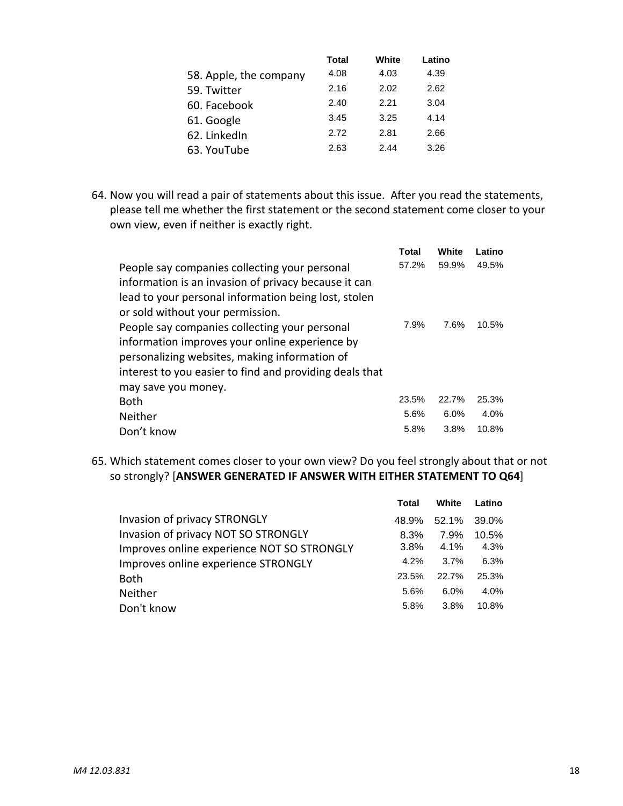|                        | <b>Total</b> | White | Latino |
|------------------------|--------------|-------|--------|
| 58. Apple, the company | 4.08         | 4.03  | 4.39   |
| 59. Twitter            | 2.16         | 2.02  | 2.62   |
| 60. Facebook           | 2.40         | 2.21  | 3.04   |
| 61. Google             | 3.45         | 3.25  | 4.14   |
| 62. LinkedIn           | 2.72         | 2.81  | 2.66   |
| 63. YouTube            | 2.63         | 2.44  | 3.26   |
|                        |              |       |        |

64. Now you will read a pair of statements about this issue. After you read the statements, please tell me whether the first statement or the second statement come closer to your own view, even if neither is exactly right.

|                                                         | Total | White | Latino |
|---------------------------------------------------------|-------|-------|--------|
| People say companies collecting your personal           | 57.2% | 59.9% | 49.5%  |
| information is an invasion of privacy because it can    |       |       |        |
| lead to your personal information being lost, stolen    |       |       |        |
| or sold without your permission.                        |       |       |        |
| People say companies collecting your personal           | 7.9%  | 7.6%  | 10.5%  |
| information improves your online experience by          |       |       |        |
| personalizing websites, making information of           |       |       |        |
| interest to you easier to find and providing deals that |       |       |        |
| may save you money.                                     |       |       |        |
| Both                                                    | 23.5% | 22.7% | 25.3%  |
| Neither                                                 | 5.6%  | 6.0%  | 4.0%   |
| Don't know                                              | 5.8%  | 3.8%  | 10.8%  |

65. Which statement comes closer to your own view? Do you feel strongly about that or not so strongly? [**ANSWER GENERATED IF ANSWER WITH EITHER STATEMENT TO Q64**]

|                                            | Total   | White   | Latino |
|--------------------------------------------|---------|---------|--------|
| <b>Invasion of privacy STRONGLY</b>        | 48.9%   | 52.1%   | 39.0%  |
| Invasion of privacy NOT SO STRONGLY        | 8.3%    | 7.9%    | 10.5%  |
| Improves online experience NOT SO STRONGLY | $3.8\%$ | 4.1%    | 4.3%   |
| Improves online experience STRONGLY        | 4.2%    | 3.7%    | 6.3%   |
| <b>Both</b>                                | 23.5%   | 22.7%   | 25.3%  |
| Neither                                    | 5.6%    | $6.0\%$ | 4.0%   |
| Don't know                                 | 5.8%    | 3.8%    | 10.8%  |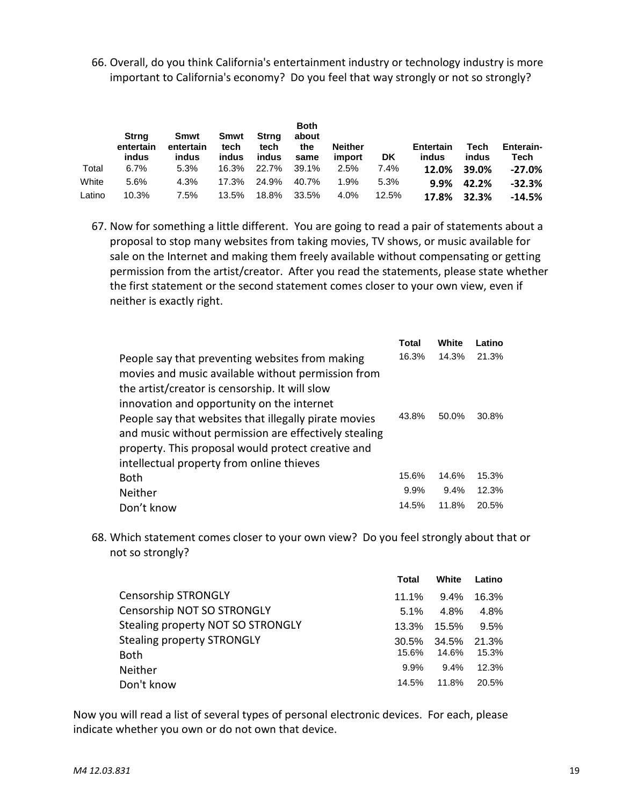66. Overall, do you think California's entertainment industry or technology industry is more important to California's economy? Do you feel that way strongly or not so strongly?

|        | Strna<br>entertain<br><b>indus</b> | Smwt<br>entertain<br>indus | Smwt<br>tech<br>indus | Strna<br>tech<br>indus | <b>Both</b><br>about<br>the<br>same | <b>Neither</b><br>import | DK    | Entertain<br>indus | Tech<br>indus | <b>Enterain-</b><br>Tech |
|--------|------------------------------------|----------------------------|-----------------------|------------------------|-------------------------------------|--------------------------|-------|--------------------|---------------|--------------------------|
| Total  | $6.7\%$                            | 5.3%                       | 16.3%                 | 22.7%                  | 39.1%                               | 2.5%                     | 7.4%  | 12.0%              | 39.0%         | -27.0%                   |
| White  | 5.6%                               | 4.3%                       | 17.3%                 | 24.9%                  | 40.7%                               | 1.9%                     | 5.3%  | $9.9\%$            | 42.2%         | $-32.3%$                 |
| Latino | 10.3%                              | 7.5%                       | 13.5%                 | 18.8%                  | 33.5%                               | 4.0%                     | 12.5% | 17.8%              | 32.3%         | $-14.5%$                 |

67. Now for something a little different. You are going to read a pair of statements about a proposal to stop many websites from taking movies, TV shows, or music available for sale on the Internet and making them freely available without compensating or getting permission from the artist/creator. After you read the statements, please state whether the first statement or the second statement comes closer to your own view, even if neither is exactly right.

|                                                       | <b>Total</b> | White | Latino |
|-------------------------------------------------------|--------------|-------|--------|
| People say that preventing websites from making       | 16.3%        | 14.3% | 21.3%  |
| movies and music available without permission from    |              |       |        |
| the artist/creator is censorship. It will slow        |              |       |        |
| innovation and opportunity on the internet            |              |       |        |
| People say that websites that illegally pirate movies | 43.8%        | 50.0% | 30.8%  |
| and music without permission are effectively stealing |              |       |        |
| property. This proposal would protect creative and    |              |       |        |
| intellectual property from online thieves             |              |       |        |
| Both                                                  | 15.6%        | 14.6% | 15.3%  |
| Neither                                               | 9.9%         | 9.4%  | 12.3%  |
| Don't know                                            | 14.5%        | 11.8% | 20.5%  |

68. Which statement comes closer to your own view? Do you feel strongly about that or not so strongly?

|                                   | <b>Total</b> | White   | Latino |
|-----------------------------------|--------------|---------|--------|
| <b>Censorship STRONGLY</b>        | 11.1%        | $9.4\%$ | 16.3%  |
| Censorship NOT SO STRONGLY        | $5.1\%$      | 4.8%    | 4.8%   |
| Stealing property NOT SO STRONGLY | 13.3%        | 15.5%   | 9.5%   |
| <b>Stealing property STRONGLY</b> | 30.5%        | 34.5%   | 21.3%  |
| Both                              | 15.6%        | 14.6%   | 15.3%  |
| Neither                           | 9.9%         | 9.4%    | 12.3%  |
| Don't know                        | 14.5%        | 11.8%   | 20.5%  |

Now you will read a list of several types of personal electronic devices. For each, please indicate whether you own or do not own that device.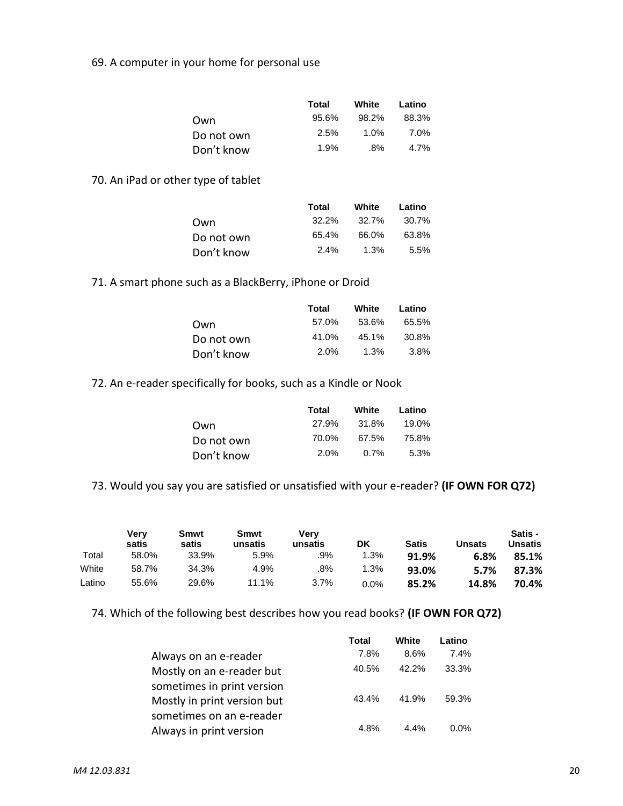### 69. A computer in your home for personal use

|            | Total   | White   | Latino |
|------------|---------|---------|--------|
| Own        | 95.6%   | 98.2%   | 88.3%  |
| Do not own | $2.5\%$ | $1.0\%$ | 7.0%   |
| Don't know | 1.9%    | .8%     | 4.7%   |

### 70. An iPad or other type of tablet

|            | Total    | White   | Latino  |
|------------|----------|---------|---------|
| Own        | $32.2\%$ | 32.7%   | 30.7%   |
| Do not own | 65.4%    | 66.0%   | 63.8%   |
| Don't know | 2.4%     | $1.3\%$ | $5.5\%$ |

71. A smart phone such as a BlackBerry, iPhone or Droid

| Total   | White   | Latino |
|---------|---------|--------|
| 57.0%   | 53.6%   | 65.5%  |
| 41.0%   | 45.1%   | 30.8%  |
| $2.0\%$ | $1.3\%$ | 3.8%   |
|         |         |        |

72. An e-reader specifically for books, such as a Kindle or Nook

|            | Total   | White   | Latino |
|------------|---------|---------|--------|
| Own        | 27.9%   | 31.8%   | 19.0%  |
| Do not own | 70.0%   | 67.5%   | 75.8%  |
| Don't know | $2.0\%$ | $0.7\%$ | 5.3%   |

73. Would you say you are satisfied or unsatisfied with your e-reader? **(IF OWN FOR Q72)**

|        | Verv<br>satis | Smwt<br>satis | Smwt<br>unsatis | Verv<br>unsatis | DK      | <b>Satis</b> | <b>Unsats</b> | <b>Satis -</b><br><b>Unsatis</b> |
|--------|---------------|---------------|-----------------|-----------------|---------|--------------|---------------|----------------------------------|
| Total  | 58.0%         | 33.9%         | 5.9%            | .9%             | $1.3\%$ | 91.9%        | 6.8%          | 85.1%                            |
| White  | 58.7%         | 34.3%         | 4.9%            | .8%             | 1.3%    | 93.0%        | 5.7%          | 87.3%                            |
| Latino | 55.6%         | 29.6%         | 11.1%           | 3.7%            | $0.0\%$ | 85.2%        | 14.8%         | 70.4%                            |

74. Which of the following best describes how you read books? **(IF OWN FOR Q72)** 

|                             | Total | White | Latino  |
|-----------------------------|-------|-------|---------|
| Always on an e-reader       | 7.8%  | 8.6%  | 7.4%    |
| Mostly on an e-reader but   | 40.5% | 42.2% | 33.3%   |
| sometimes in print version  |       |       |         |
| Mostly in print version but | 43.4% | 41.9% | 59.3%   |
| sometimes on an e-reader    |       |       |         |
| Always in print version     | 4.8%  | 4.4%  | $0.0\%$ |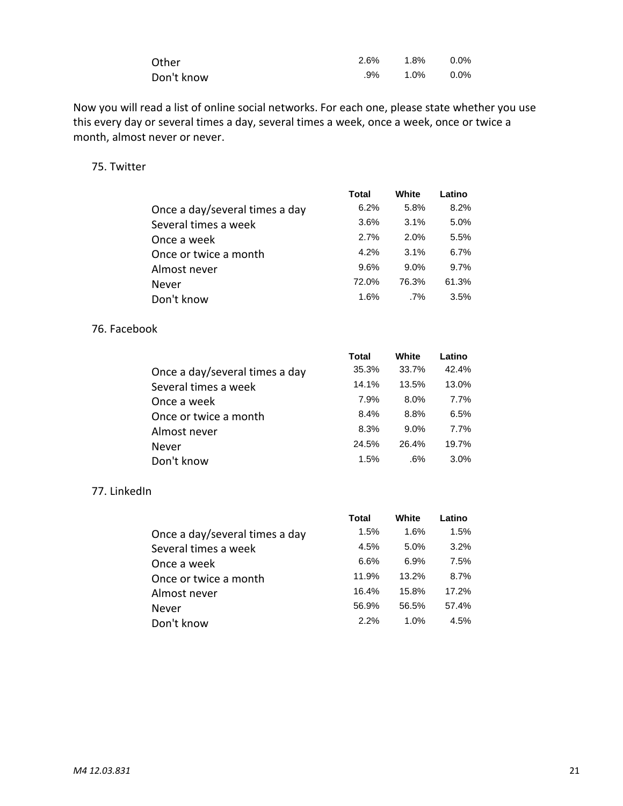| Other      | 2.6% | $1.8\%$ | $0.0\%$ |
|------------|------|---------|---------|
| Don't know | .9%  | $1.0\%$ | $0.0\%$ |

Now you will read a list of online social networks. For each one, please state whether you use this every day or several times a day, several times a week, once a week, once or twice a month, almost never or never.

### 75. Twitter

|                                | Total | White   | Latino |
|--------------------------------|-------|---------|--------|
| Once a day/several times a day | 6.2%  | 5.8%    | 8.2%   |
| Several times a week           | 3.6%  | $3.1\%$ | 5.0%   |
| Once a week                    | 2.7%  | 2.0%    | 5.5%   |
| Once or twice a month          | 4.2%  | $3.1\%$ | 6.7%   |
| Almost never                   | 9.6%  | $9.0\%$ | 9.7%   |
| Never                          | 72.0% | 76.3%   | 61.3%  |
| Don't know                     | 1.6%  | $.7\%$  | 3.5%   |

### 76. Facebook

|                                | <b>Total</b> | White   | Latino |
|--------------------------------|--------------|---------|--------|
| Once a day/several times a day | 35.3%        | 33.7%   | 42.4%  |
| Several times a week           | 14.1%        | 13.5%   | 13.0%  |
| Once a week                    | 7.9%         | $8.0\%$ | 7.7%   |
| Once or twice a month          | 8.4%         | 8.8%    | 6.5%   |
| Almost never                   | 8.3%         | $9.0\%$ | 7.7%   |
| Never                          | 24.5%        | 26.4%   | 19.7%  |
| Don't know                     | 1.5%         | .6%     | 3.0%   |

### 77. LinkedIn

|                                | Total | White   | Latino |
|--------------------------------|-------|---------|--------|
| Once a day/several times a day | 1.5%  | 1.6%    | 1.5%   |
| Several times a week           | 4.5%  | 5.0%    | 3.2%   |
| Once a week                    | 6.6%  | 6.9%    | 7.5%   |
| Once or twice a month          | 11.9% | 13.2%   | 8.7%   |
| Almost never                   | 16.4% | 15.8%   | 17.2%  |
| Never                          | 56.9% | 56.5%   | 57.4%  |
| Don't know                     | 2.2%  | $1.0\%$ | 4.5%   |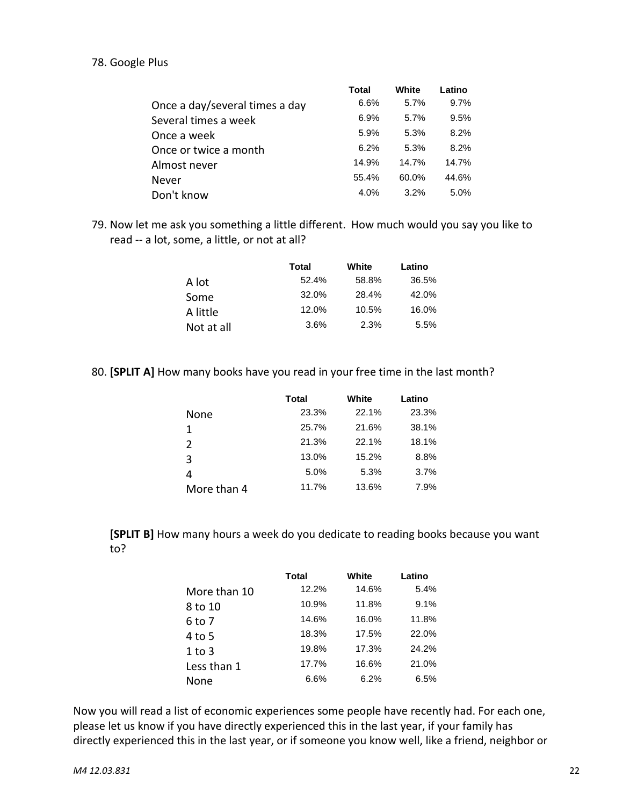### 78. Google Plus

|                                | Total | White | Latino |
|--------------------------------|-------|-------|--------|
| Once a day/several times a day | 6.6%  | 5.7%  | 9.7%   |
| Several times a week           | 6.9%  | 5.7%  | 9.5%   |
| Once a week                    | 5.9%  | 5.3%  | 8.2%   |
| Once or twice a month          | 6.2%  | 5.3%  | 8.2%   |
| Almost never                   | 14.9% | 14.7% | 14.7%  |
| Never                          | 55.4% | 60.0% | 44.6%  |
| Don't know                     | 4.0%  | 3.2%  | 5.0%   |

79. Now let me ask you something a little different. How much would you say you like to read -- a lot, some, a little, or not at all?

| Total | White | Latino |
|-------|-------|--------|
| 52.4% | 58.8% | 36.5%  |
| 32.0% | 28.4% | 42.0%  |
| 12.0% | 10.5% | 16.0%  |
| 3.6%  | 2.3%  | 5.5%   |
|       |       |        |

80. **[SPLIT A]** How many books have you read in your free time in the last month?

|             | <b>Total</b> | White | Latino |
|-------------|--------------|-------|--------|
| None        | 23.3%        | 22.1% | 23.3%  |
| 1           | 25.7%        | 21.6% | 38.1%  |
| 2           | 21.3%        | 22.1% | 18.1%  |
| 3           | 13.0%        | 15.2% | 8.8%   |
| 4           | 5.0%         | 5.3%  | 3.7%   |
| More than 4 | 11.7%        | 13.6% | 7.9%   |

**[SPLIT B]** How many hours a week do you dedicate to reading books because you want to?

|              | Total | White | Latino |
|--------------|-------|-------|--------|
| More than 10 | 12.2% | 14.6% | 5.4%   |
| 8 to 10      | 10.9% | 11.8% | 9.1%   |
| 6 to 7       | 14.6% | 16.0% | 11.8%  |
| 4 to 5       | 18.3% | 17.5% | 22.0%  |
| $1$ to $3$   | 19.8% | 17.3% | 24.2%  |
| Less than 1  | 17.7% | 16.6% | 21.0%  |
| None         | 6.6%  | 6.2%  | 6.5%   |

Now you will read a list of economic experiences some people have recently had. For each one, please let us know if you have directly experienced this in the last year, if your family has directly experienced this in the last year, or if someone you know well, like a friend, neighbor or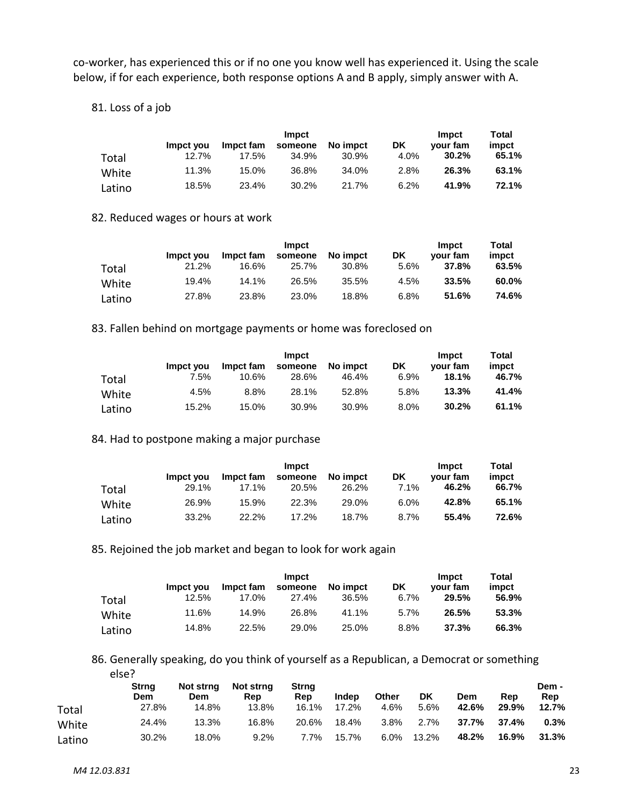co-worker, has experienced this or if no one you know well has experienced it. Using the scale below, if for each experience, both response options A and B apply, simply answer with A.

### 81. Loss of a job

|        | Impct vou | Impct fam | Impct<br>someone | No impct | DK   | Impct<br>vour fam | Total<br>impct |
|--------|-----------|-----------|------------------|----------|------|-------------------|----------------|
| Total  | 12.7%     | 17.5%     | 34.9%            | 30.9%    | 4.0% | 30.2%             | 65.1%          |
| White  | 11.3%     | 15.0%     | 36.8%            | 34.0%    | 2.8% | 26.3%             | 63.1%          |
| Latino | 18.5%     | 23.4%     | $30.2\%$         | 21.7%    | 6.2% | 41.9%             | 72.1%          |

#### 82. Reduced wages or hours at work

|        | Impct vou | Impct fam | Impct<br>someone | No impct | DK   | Impct<br>vour fam | Total<br>impct |
|--------|-----------|-----------|------------------|----------|------|-------------------|----------------|
| Total  | 21.2%     | 16.6%     | 25.7%            | 30.8%    | 5.6% | 37.8%             | 63.5%          |
| White  | 19.4%     | 14.1%     | 26.5%            | 35.5%    | 4.5% | 33.5%             | 60.0%          |
| Latino | 27.8%     | 23.8%     | 23.0%            | 18.8%    | 6.8% | 51.6%             | 74.6%          |

#### 83. Fallen behind on mortgage payments or home was foreclosed on

|        | Impct vou | Impct fam | Impct<br>someone | No impct | DK      | Impct<br>vour fam | Total<br>impct |
|--------|-----------|-----------|------------------|----------|---------|-------------------|----------------|
| Total  | 7.5%      | 10.6%     | 28.6%            | 46.4%    | $6.9\%$ | 18.1%             | 46.7%          |
| White  | 4.5%      | 8.8%      | 28.1%            | 52.8%    | 5.8%    | 13.3%             | 41.4%          |
| Latino | 15.2%     | 15.0%     | 30.9%            | 30.9%    | 8.0%    | 30.2%             | 61.1%          |

#### 84. Had to postpone making a major purchase

|        | Impct vou | Impct fam | Impct<br>someone | No impct | DK   | Impct<br>vour fam | Total<br>impct |
|--------|-----------|-----------|------------------|----------|------|-------------------|----------------|
| Total  | 29.1%     | 17.1%     | 20.5%            | 26.2%    | 7.1% | 46.2%             | 66.7%          |
| White  | 26.9%     | 15.9%     | 22.3%            | 29.0%    | 6.0% | 42.8%             | 65.1%          |
| Latino | 33.2%     | 22.2%     | 17.2%            | 18.7%    | 8.7% | 55.4%             | 72.6%          |

### 85. Rejoined the job market and began to look for work again

|        | Impct you | Impct fam | Impct<br>someone | No impct | DK      | Impct<br>vour fam | Total<br>impct |
|--------|-----------|-----------|------------------|----------|---------|-------------------|----------------|
| Total  | 12.5%     | 17.0%     | 27.4%            | 36.5%    | $6.7\%$ | 29.5%             | 56.9%          |
| White  | 11.6%     | 14.9%     | 26.8%            | 41.1%    | 5.7%    | 26.5%             | 53.3%          |
| Latino | 14.8%     | 22.5%     | 29.0%            | 25.0%    | 8.8%    | 37.3%             | 66.3%          |

86. Generally speaking, do you think of yourself as a Republican, a Democrat or something else?

|        | Strna<br>Dem | Not strna<br>Dem | Not strna<br>Rep | Strna<br>Rep | Indep | Other   | DK      | Dem   | Rep   | Dem -<br>Rep |
|--------|--------------|------------------|------------------|--------------|-------|---------|---------|-------|-------|--------------|
| Total  | 27.8%        | 14.8%            | 13.8%            | 16.1%        | 17.2% | 4.6%    | 5.6%    | 42.6% | 29.9% | 12.7%        |
| White  | 24.4%        | 13.3%            | 16.8%            | 20.6%        | 18.4% | $3.8\%$ | $2.7\%$ | 37.7% | 37.4% | 0.3%         |
| Latino | 30.2%        | 18.0%            | $9.2\%$          | 7.7%         | 15.7% | $6.0\%$ | 13.2%   | 48.2% | 16.9% | 31.3%        |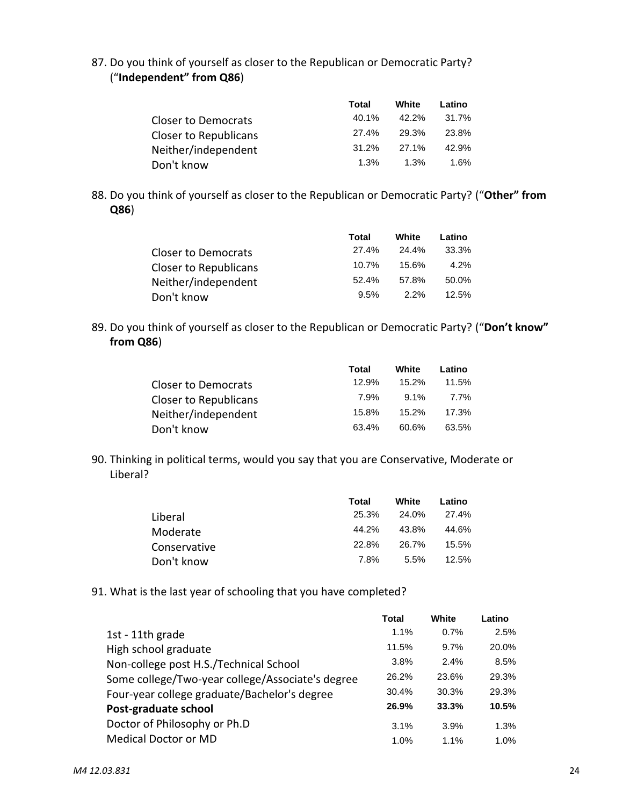87. Do you think of yourself as closer to the Republican or Democratic Party? ("**Independent" from Q86**)

|                            | Total | White | Latino   |
|----------------------------|-------|-------|----------|
| <b>Closer to Democrats</b> | 40.1% | 42.2% | 31.7%    |
| Closer to Republicans      | 27.4% | 29.3% | 23.8%    |
| Neither/independent        | 31.2% | 27.1% | $42.9\%$ |
| Don't know                 | 1.3%  | 1.3%  | 1.6%     |

88. Do you think of yourself as closer to the Republican or Democratic Party? ("**Other" from Q86**)

|                       | Total    | White   | Latino |
|-----------------------|----------|---------|--------|
| Closer to Democrats   | 27.4%    | 24.4%   | 33.3%  |
| Closer to Republicans | $10.7\%$ | 15.6%   | 4.2%   |
| Neither/independent   | $52.4\%$ | 57.8%   | 50.0%  |
| Don't know            | 9.5%     | $2.2\%$ | 12.5%  |

89. Do you think of yourself as closer to the Republican or Democratic Party? ("**Don't know" from Q86**)

|                       | Total | White   | Latino |
|-----------------------|-------|---------|--------|
| Closer to Democrats   | 12.9% | 15.2%   | 11.5%  |
| Closer to Republicans | 7.9%  | $9.1\%$ | 7.7%   |
| Neither/independent   | 15.8% | 15.2%   | 17.3%  |
| Don't know            | 63.4% | 60.6%   | 63.5%  |

90. Thinking in political terms, would you say that you are Conservative, Moderate or Liberal?

|              | Total | White | Latino   |
|--------------|-------|-------|----------|
| Liberal      | 25.3% | 24.0% | 27.4%    |
| Moderate     | 44.2% | 43.8% | 44.6%    |
| Conservative | 22.8% | 26.7% | $15.5\%$ |
| Don't know   | 7.8%  | 5.5%  | $12.5\%$ |

91. What is the last year of schooling that you have completed?

|                                                  | <b>Total</b> | White | Latino |
|--------------------------------------------------|--------------|-------|--------|
| 1st - 11th grade                                 | 1.1%         | 0.7%  | 2.5%   |
| High school graduate                             | 11.5%        | 9.7%  | 20.0%  |
| Non-college post H.S./Technical School           | 3.8%         | 2.4%  | 8.5%   |
| Some college/Two-year college/Associate's degree | 26.2%        | 23.6% | 29.3%  |
| Four-year college graduate/Bachelor's degree     | 30.4%        | 30.3% | 29.3%  |
| Post-graduate school                             | 26.9%        | 33.3% | 10.5%  |
| Doctor of Philosophy or Ph.D                     | 3.1%         | 3.9%  | 1.3%   |
| <b>Medical Doctor or MD</b>                      | 1.0%         | 1.1%  | 1.0%   |
|                                                  |              |       |        |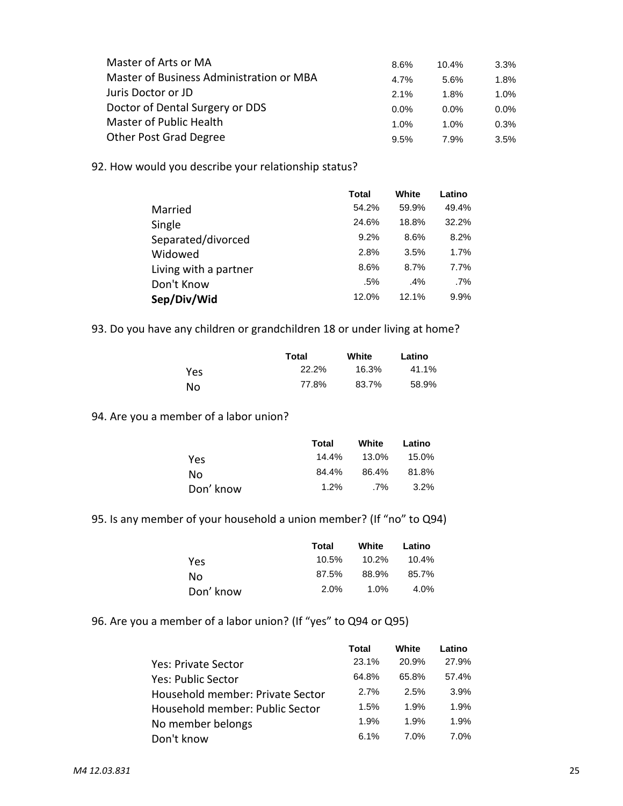| Master of Arts or MA                     | 8.6%    | $10.4\%$ | $3.3\%$ |
|------------------------------------------|---------|----------|---------|
| Master of Business Administration or MBA | 4.7%    | 5.6%     | 1.8%    |
| Juris Doctor or JD                       | $2.1\%$ | 1.8%     | $1.0\%$ |
| Doctor of Dental Surgery or DDS          | $0.0\%$ | $0.0\%$  | $0.0\%$ |
| Master of Public Health                  | 1.0%    | 1.0%     | 0.3%    |
| <b>Other Post Grad Degree</b>            | 9.5%    | 7.9%     | 3.5%    |

92. How would you describe your relationship status?

|                       | <b>Total</b> | White  | Latino |
|-----------------------|--------------|--------|--------|
| Married               | 54.2%        | 59.9%  | 49.4%  |
| Single                | 24.6%        | 18.8%  | 32.2%  |
| Separated/divorced    | 9.2%         | 8.6%   | 8.2%   |
| Widowed               | 2.8%         | 3.5%   | 1.7%   |
| Living with a partner | 8.6%         | 8.7%   | 7.7%   |
| Don't Know            | .5%          | $.4\%$ | .7%    |
| Sep/Div/Wid           | 12.0%        | 12.1%  | 9.9%   |

93. Do you have any children or grandchildren 18 or under living at home?

|     | Total | White | Latino |
|-----|-------|-------|--------|
| Yes | 22.2% | 16.3% | 41.1%  |
| No. | 77.8% | 83.7% | 58.9%  |

### 94. Are you a member of a labor union?

|            | Total   | White | Latino  |
|------------|---------|-------|---------|
| <b>Yes</b> | 14.4%   | 13.0% | 15.0%   |
| No.        | 84.4%   | 86.4% | 81.8%   |
| Don' know  | $1.2\%$ | .7%   | $3.2\%$ |

95. Is any member of your household a union member? (If "no" to Q94)

|           | Total    | White    | Latino   |
|-----------|----------|----------|----------|
| Yes.      | $10.5\%$ | $10.2\%$ | $10.4\%$ |
| No.       | 87.5%    | 88.9%    | 85.7%    |
| Don' know | $2.0\%$  | $1.0\%$  | $4.0\%$  |

96. Are you a member of a labor union? (If "yes" to Q94 or Q95)

|                                  | Total   | White | Latino |
|----------------------------------|---------|-------|--------|
| Yes: Private Sector              | 23.1%   | 20.9% | 27.9%  |
| Yes: Public Sector               | 64.8%   | 65.8% | 57.4%  |
| Household member: Private Sector | $2.7\%$ | 2.5%  | 3.9%   |
| Household member: Public Sector  | 1.5%    | 1.9%  | 1.9%   |
| No member belongs                | 1.9%    | 1.9%  | 1.9%   |
| Don't know                       | 6.1%    | 7 በ%  | 7.0%   |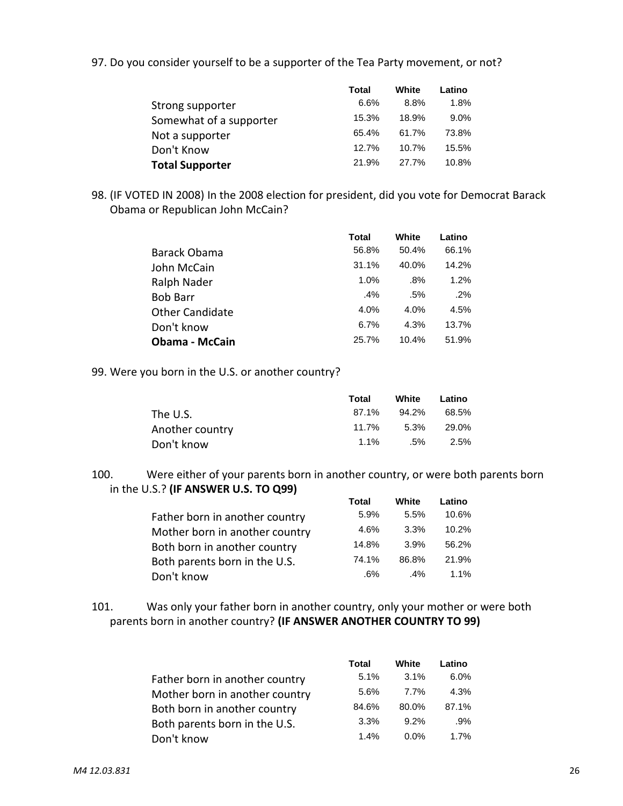97. Do you consider yourself to be a supporter of the Tea Party movement, or not?

|                         | Total | White | Latino  |
|-------------------------|-------|-------|---------|
| Strong supporter        | 6.6%  | 8.8%  | 1.8%    |
| Somewhat of a supporter | 15.3% | 18.9% | $9.0\%$ |
| Not a supporter         | 65.4% | 61.7% | 73.8%   |
| Don't Know              | 12.7% | 10.7% | 15.5%   |
| <b>Total Supporter</b>  | 21.9% | 27.7% | 10.8%   |

98. (IF VOTED IN 2008) In the 2008 election for president, did you vote for Democrat Barack Obama or Republican John McCain?

|                        | Total  | White  | Latino |
|------------------------|--------|--------|--------|
| Barack Obama           | 56.8%  | 50.4%  | 66.1%  |
| John McCain            | 31.1%  | 40.0%  | 14.2%  |
| Ralph Nader            | 1.0%   | $.8\%$ | 1.2%   |
| <b>Bob Barr</b>        | $.4\%$ | .5%    | $.2\%$ |
| <b>Other Candidate</b> | 4.0%   | 4.0%   | 4.5%   |
| Don't know             | 6.7%   | 4.3%   | 13.7%  |
| <b>Obama - McCain</b>  | 25.7%  | 10.4%  | 51.9%  |

99. Were you born in the U.S. or another country?

|                 | Total | White  | Latino |
|-----------------|-------|--------|--------|
| The U.S.        | 87.1% | 94.2%  | 68.5%  |
| Another country | 11.7% | 5.3%   | 29.0%  |
| Don't know      | 1.1%  | $.5\%$ | 2.5%   |

100. Were either of your parents born in another country, or were both parents born in the U.S.? **(IF ANSWER U.S. TO Q99) Total White Latino**

| Total  | White  | Latino  |
|--------|--------|---------|
| 5.9%   | 5.5%   | 10.6%   |
| 4.6%   | 3.3%   | 10.2%   |
| 14.8%  | 3.9%   | 56.2%   |
| 74.1%  | 86.8%  | 21.9%   |
| $.6\%$ | $.4\%$ | $1.1\%$ |
|        |        |         |

101. Was only your father born in another country, only your mother or were both parents born in another country? **(IF ANSWER ANOTHER COUNTRY TO 99)**

|                                | Total | White   | Latino  |
|--------------------------------|-------|---------|---------|
| Father born in another country | 5.1%  | 3.1%    | $6.0\%$ |
| Mother born in another country | 5.6%  | 7.7%    | 4.3%    |
| Both born in another country   | 84.6% | 80.0%   | 87.1%   |
| Both parents born in the U.S.  | 3.3%  | 9.2%    | .9%     |
| Don't know                     | 1.4%  | $0.0\%$ | 1.7%    |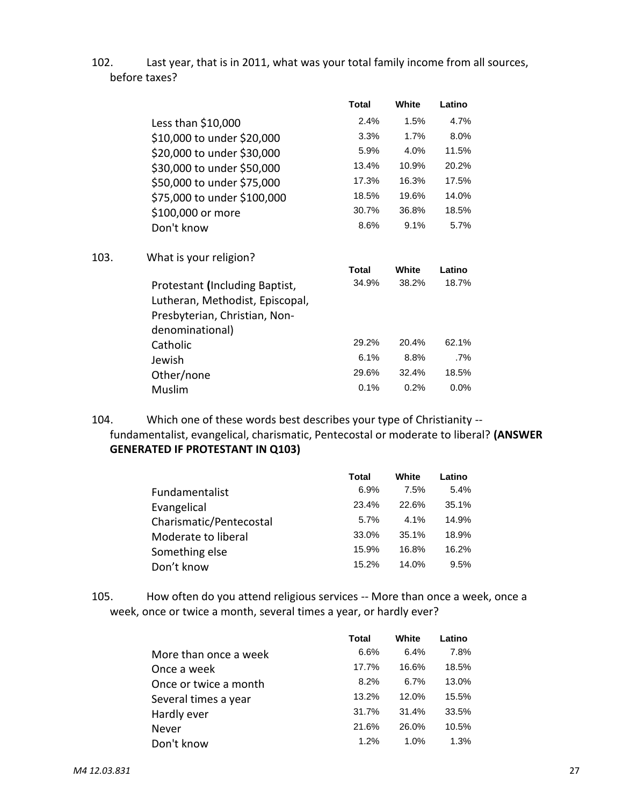102. Last year, that is in 2011, what was your total family income from all sources, before taxes?

|      |                                 | <b>Total</b> | White | Latino |
|------|---------------------------------|--------------|-------|--------|
|      | Less than $$10,000$             | 2.4%         | 1.5%  | 4.7%   |
|      | \$10,000 to under \$20,000      | 3.3%         | 1.7%  | 8.0%   |
|      | \$20,000 to under \$30,000      | 5.9%         | 4.0%  | 11.5%  |
|      | \$30,000 to under \$50,000      | 13.4%        | 10.9% | 20.2%  |
|      | \$50,000 to under \$75,000      | 17.3%        | 16.3% | 17.5%  |
|      | \$75,000 to under \$100,000     | 18.5%        | 19.6% | 14.0%  |
|      | \$100,000 or more               | 30.7%        | 36.8% | 18.5%  |
|      | Don't know                      | 8.6%         | 9.1%  | 5.7%   |
| 103. | What is your religion?          |              |       |        |
|      |                                 | <b>Total</b> | White | Latino |
|      | Protestant (Including Baptist,  | 34.9%        | 38.2% | 18.7%  |
|      | Lutheran, Methodist, Episcopal, |              |       |        |
|      | Presbyterian, Christian, Non-   |              |       |        |
|      | denominational)                 |              |       |        |
|      | Catholic                        | 29.2%        | 20.4% | 62.1%  |
|      | Jewish                          | 6.1%         | 8.8%  | $.7\%$ |
|      | Other/none                      | 29.6%        | 32.4% | 18.5%  |
|      | Muslim                          | 0.1%         | 0.2%  | 0.0%   |

104. Which one of these words best describes your type of Christianity - fundamentalist, evangelical, charismatic, Pentecostal or moderate to liberal? **(ANSWER GENERATED IF PROTESTANT IN Q103)**

|                         | Total | White | Latino |
|-------------------------|-------|-------|--------|
| Fundamentalist          | 6.9%  | 7.5%  | 5.4%   |
| Evangelical             | 23.4% | 22.6% | 35.1%  |
| Charismatic/Pentecostal | 5.7%  | 4.1%  | 14.9%  |
| Moderate to liberal     | 33.0% | 35.1% | 18.9%  |
| Something else          | 15.9% | 16.8% | 16.2%  |
| Don't know              | 15.2% | 14.0% | 9.5%   |

105. How often do you attend religious services -- More than once a week, once a week, once or twice a month, several times a year, or hardly ever?

|                       | Total | White | Latino |
|-----------------------|-------|-------|--------|
| More than once a week | 6.6%  | 6.4%  | 7.8%   |
| Once a week           | 17.7% | 16.6% | 18.5%  |
| Once or twice a month | 8.2%  | 6.7%  | 13.0%  |
| Several times a year  | 13.2% | 12.0% | 15.5%  |
| Hardly ever           | 31.7% | 31.4% | 33.5%  |
| Never                 | 21.6% | 26.0% | 10.5%  |
| Don't know            | 1.2%  | 1.0%  | 1.3%   |